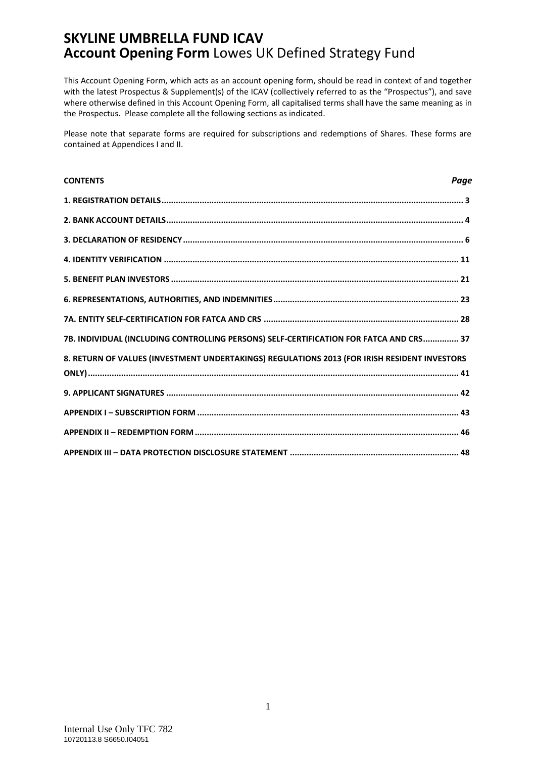This Account Opening Form, which acts as an account opening form, should be read in context of and together with the latest Prospectus & Supplement(s) of the ICAV (collectively referred to as the "Prospectus"), and save where otherwise defined in this Account Opening Form, all capitalised terms shall have the same meaning as in the Prospectus. Please complete all the following sections as indicated.

Please note that separate forms are required for subscriptions and redemptions of Shares. These forms are contained at Appendices I and II.

| <b>CONTENTS</b>                                                                              | Page |
|----------------------------------------------------------------------------------------------|------|
|                                                                                              |      |
|                                                                                              |      |
|                                                                                              |      |
|                                                                                              |      |
|                                                                                              |      |
|                                                                                              |      |
|                                                                                              |      |
| 7B. INDIVIDUAL (INCLUDING CONTROLLING PERSONS) SELF-CERTIFICATION FOR FATCA AND CRS 37       |      |
| 8. RETURN OF VALUES (INVESTMENT UNDERTAKINGS) REGULATIONS 2013 (FOR IRISH RESIDENT INVESTORS |      |
|                                                                                              |      |
|                                                                                              |      |
|                                                                                              |      |
|                                                                                              |      |
|                                                                                              |      |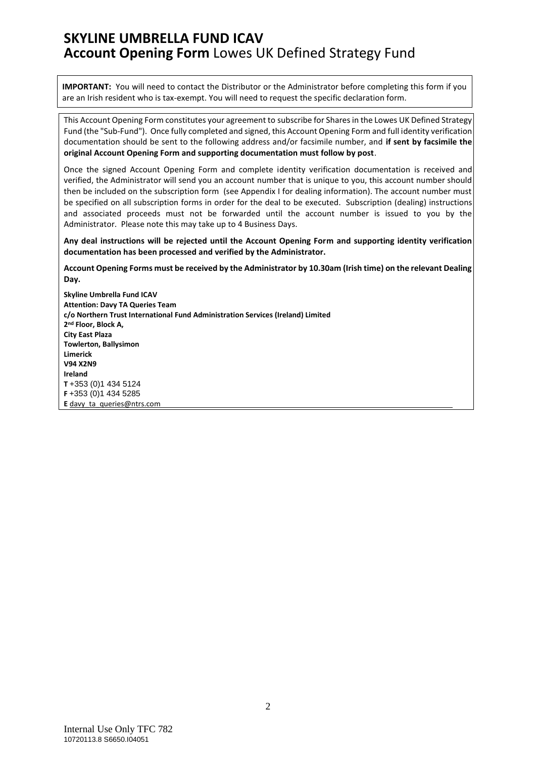**IMPORTANT:** You will need to contact the Distributor or the Administrator before completing this form if you are an Irish resident who is tax-exempt. You will need to request the specific declaration form.

This Account Opening Form constitutes your agreement to subscribe for Shares in the Lowes UK Defined Strategy Fund (the "Sub-Fund"). Once fully completed and signed, this Account Opening Form and full identity verification documentation should be sent to the following address and/or facsimile number, and **if sent by facsimile the original Account Opening Form and supporting documentation must follow by post**.

Once the signed Account Opening Form and complete identity verification documentation is received and verified, the Administrator will send you an account number that is unique to you, this account number should then be included on the subscription form (see Appendix I for dealing information). The account number must be specified on all subscription forms in order for the deal to be executed. Subscription (dealing) instructions and associated proceeds must not be forwarded until the account number is issued to you by the Administrator. Please note this may take up to 4 Business Days.

**Any deal instructions will be rejected until the Account Opening Form and supporting identity verification documentation has been processed and verified by the Administrator.**

**Account Opening Forms must be received by the Administrator by 10.30am (Irish time) on the relevant Dealing Day.**

**Skyline Umbrella Fund ICAV Attention: Davy TA Queries Team c/o Northern Trust International Fund Administration Services (Ireland) Limited 2 nd Floor, Block A, City East Plaza Towlerton, Ballysimon Limerick V94 X2N9 Ireland T** +353 (0)1 434 5124 **F** +353 (0)1 434 5285 **E** [davy\\_ta\\_queries@ntrs.com](mailto:davy_ta_queries@ntrs.com)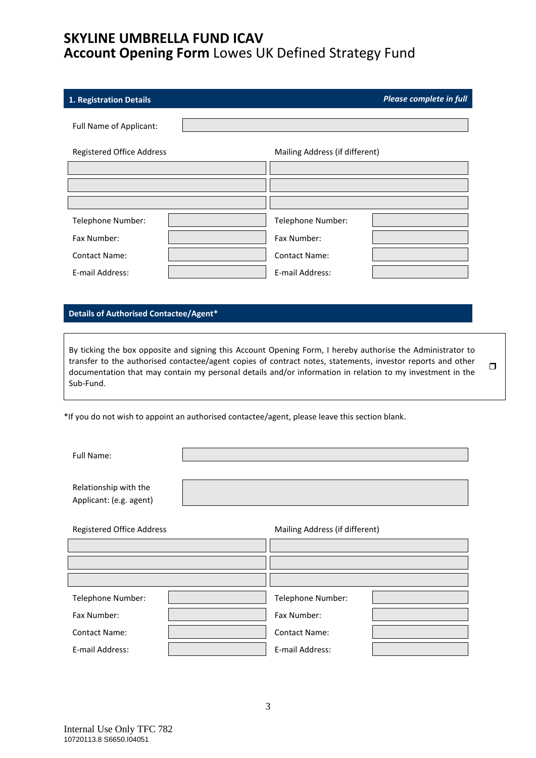<span id="page-2-0"></span>

| 1. Registration Details   |                                | Please complete in full |
|---------------------------|--------------------------------|-------------------------|
| Full Name of Applicant:   |                                |                         |
| Registered Office Address | Mailing Address (if different) |                         |
|                           |                                |                         |
|                           |                                |                         |
|                           |                                |                         |
| Telephone Number:         | Telephone Number:              |                         |
| Fax Number:               | Fax Number:                    |                         |
| <b>Contact Name:</b>      | <b>Contact Name:</b>           |                         |
| E-mail Address:           | E-mail Address:                |                         |

### **Details of Authorised Contactee/Agent\***

By ticking the box opposite and signing this Account Opening Form, I hereby authorise the Administrator to transfer to the authorised contactee/agent copies of contract notes, statements, investor reports and other documentation that may contain my personal details and/or information in relation to my investment in the Sub-Fund.  $\Box$ 

\*If you do not wish to appoint an authorised contactee/agent, please leave this section blank.

Full Name:

Relationship with the Applicant: (e.g. agent)

| <b>Registered Office Address</b> |  | Mailing Address (if different) |  |  |
|----------------------------------|--|--------------------------------|--|--|
|                                  |  |                                |  |  |
|                                  |  |                                |  |  |
|                                  |  |                                |  |  |
| Telephone Number:                |  | Telephone Number:              |  |  |
| Fax Number:                      |  | Fax Number:                    |  |  |
| <b>Contact Name:</b>             |  | <b>Contact Name:</b>           |  |  |
| E-mail Address:                  |  | E-mail Address:                |  |  |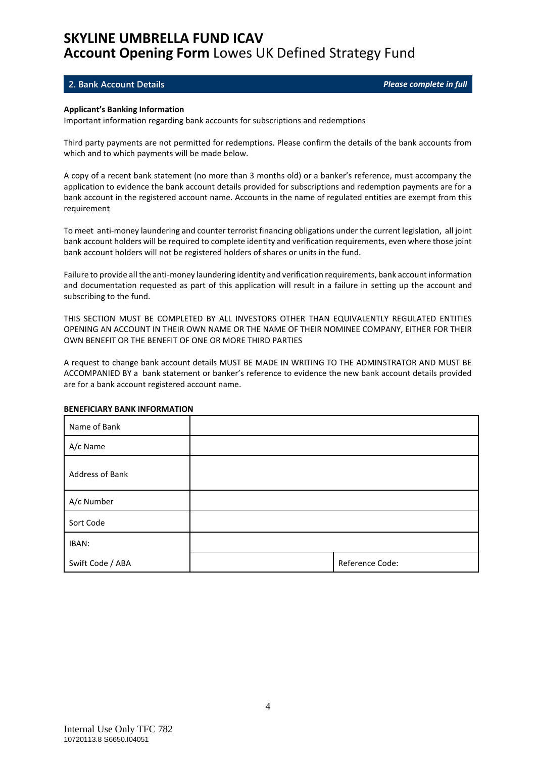#### <span id="page-3-0"></span>**2. Bank Account Details** *Please complete in full*

#### **Applicant's Banking Information**

Important information regarding bank accounts for subscriptions and redemptions

Third party payments are not permitted for redemptions. Please confirm the details of the bank accounts from which and to which payments will be made below.

A copy of a recent bank statement (no more than 3 months old) or a banker's reference, must accompany the application to evidence the bank account details provided for subscriptions and redemption payments are for a bank account in the registered account name. Accounts in the name of regulated entities are exempt from this requirement

To meet anti-money laundering and counter terrorist financing obligations under the current legislation, all joint bank account holders will be required to complete identity and verification requirements, even where those joint bank account holders will not be registered holders of shares or units in the fund.

Failure to provide all the anti-money laundering identity and verification requirements, bank account information and documentation requested as part of this application will result in a failure in setting up the account and subscribing to the fund.

THIS SECTION MUST BE COMPLETED BY ALL INVESTORS OTHER THAN EQUIVALENTLY REGULATED ENTITIES OPENING AN ACCOUNT IN THEIR OWN NAME OR THE NAME OF THEIR NOMINEE COMPANY, EITHER FOR THEIR OWN BENEFIT OR THE BENEFIT OF ONE OR MORE THIRD PARTIES

A request to change bank account details MUST BE MADE IN WRITING TO THE ADMINSTRATOR AND MUST BE ACCOMPANIED BY a bank statement or banker's reference to evidence the new bank account details provided are for a bank account registered account name.

| Name of Bank     |                 |
|------------------|-----------------|
| A/c Name         |                 |
| Address of Bank  |                 |
| A/c Number       |                 |
| Sort Code        |                 |
| IBAN:            |                 |
| Swift Code / ABA | Reference Code: |

#### **BENEFICIARY BANK INFORMATION**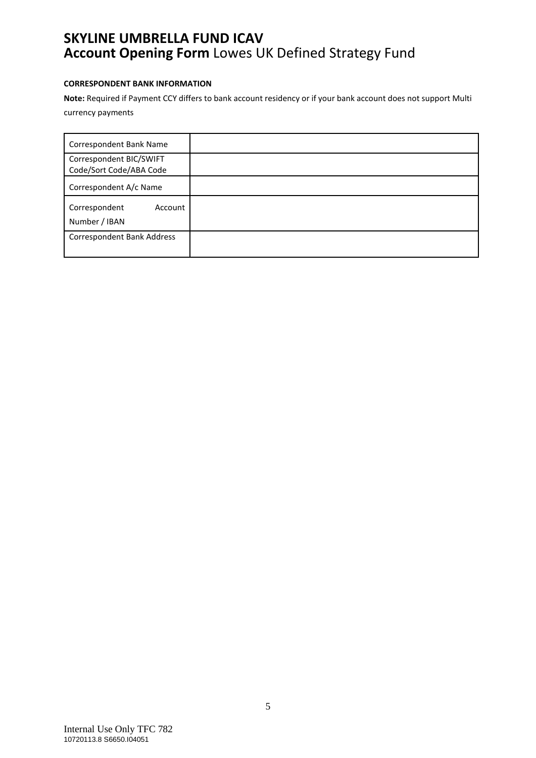### **CORRESPONDENT BANK INFORMATION**

**Note:** Required if Payment CCY differs to bank account residency or if your bank account does not support Multi currency payments

| Correspondent Bank Name                            |  |
|----------------------------------------------------|--|
| Correspondent BIC/SWIFT<br>Code/Sort Code/ABA Code |  |
| Correspondent A/c Name                             |  |
| Correspondent<br>Account<br>Number / IBAN          |  |
| <b>Correspondent Bank Address</b>                  |  |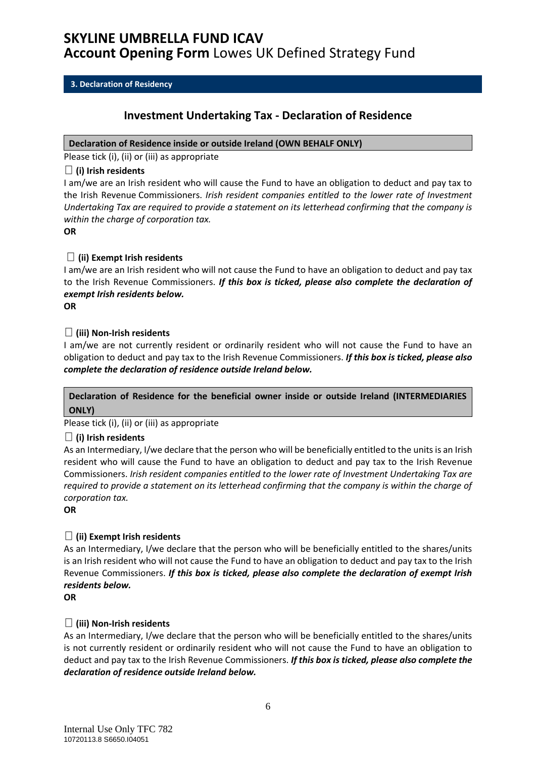### <span id="page-5-0"></span>**3. Declaration of Residency**

### **Investment Undertaking Tax - Declaration of Residence**

### **Declaration of Residence inside or outside Ireland (OWN BEHALF ONLY)**

Please tick (i), (ii) or (iii) as appropriate

### **(i) Irish residents**

I am/we are an Irish resident who will cause the Fund to have an obligation to deduct and pay tax to the Irish Revenue Commissioners. *Irish resident companies entitled to the lower rate of Investment Undertaking Tax are required to provide a statement on its letterhead confirming that the company is within the charge of corporation tax.*

**OR**

### **(ii) Exempt Irish residents**

I am/we are an Irish resident who will not cause the Fund to have an obligation to deduct and pay tax to the Irish Revenue Commissioners. *If this box is ticked, please also complete the declaration of exempt Irish residents below.*

**OR**

### **(iii) Non-Irish residents**

I am/we are not currently resident or ordinarily resident who will not cause the Fund to have an obligation to deduct and pay tax to the Irish Revenue Commissioners. *If this box is ticked, please also complete the declaration of residence outside Ireland below.*

### **Declaration of Residence for the beneficial owner inside or outside Ireland (INTERMEDIARIES ONLY)**

Please tick (i), (ii) or (iii) as appropriate

### **(i) Irish residents**

As an Intermediary, I/we declare that the person who will be beneficially entitled to the units is an Irish resident who will cause the Fund to have an obligation to deduct and pay tax to the Irish Revenue Commissioners. *Irish resident companies entitled to the lower rate of Investment Undertaking Tax are required to provide a statement on its letterhead confirming that the company is within the charge of corporation tax.*

**OR**

### **(ii) Exempt Irish residents**

As an Intermediary, I/we declare that the person who will be beneficially entitled to the shares/units is an Irish resident who will not cause the Fund to have an obligation to deduct and pay tax to the Irish Revenue Commissioners. *If this box is ticked, please also complete the declaration of exempt Irish residents below.*

**OR**

### **(iii) Non-Irish residents**

As an Intermediary, I/we declare that the person who will be beneficially entitled to the shares/units is not currently resident or ordinarily resident who will not cause the Fund to have an obligation to deduct and pay tax to the Irish Revenue Commissioners. *If this box is ticked, please also complete the declaration of residence outside Ireland below.*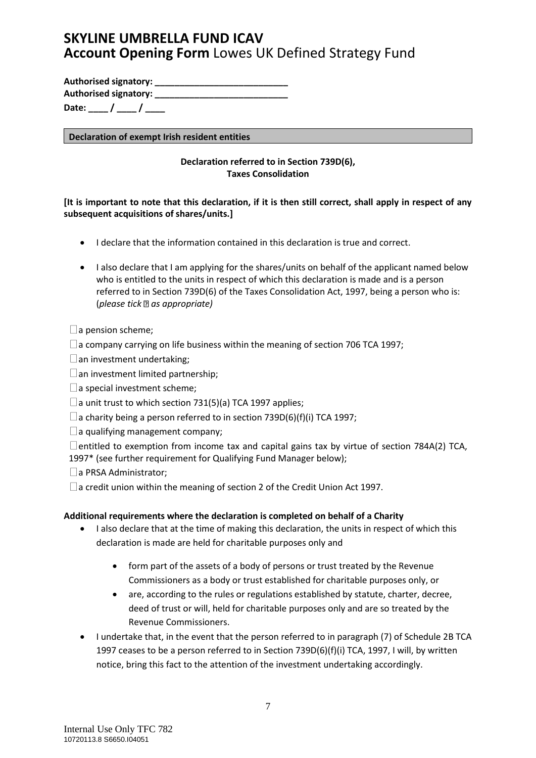**Authorised signatory: \_\_\_\_\_\_\_\_\_\_\_\_\_\_\_\_\_\_\_\_\_\_\_\_\_\_\_ Authorised signatory: \_\_\_\_\_\_\_\_\_\_\_\_\_\_\_\_\_\_\_\_\_\_\_\_\_\_\_**

Date: / /

**Declaration of exempt Irish resident entities**

### **Declaration referred to in Section 739D(6), Taxes Consolidation**

### **[It is important to note that this declaration, if it is then still correct, shall apply in respect of any subsequent acquisitions of shares/units.]**

- I declare that the information contained in this declaration is true and correct.
- I also declare that I am applying for the shares/units on behalf of the applicant named below who is entitled to the units in respect of which this declaration is made and is a person referred to in Section 739D(6) of the Taxes Consolidation Act, 1997, being a person who is: (*please tick as appropriate)*

### $\Box$  a pension scheme;

 $\square$  a company carrying on life business within the meaning of section 706 TCA 1997;

 $\Box$  an investment undertaking;

 $\Box$  an investment limited partnership;

 $\square$  a special investment scheme;

 $\Box$  a unit trust to which section 731(5)(a) TCA 1997 applies;

 $\Box$  a charity being a person referred to in section 739D(6)(f)(i) TCA 1997;

 $\Box$  a qualifying management company;

 $\Box$  entitled to exemption from income tax and capital gains tax by virtue of section 784A(2) TCA, 1997\* (see further requirement for Qualifying Fund Manager below);

 $\Box$  a PRSA Administrator;

 $\Box$  a credit union within the meaning of section 2 of the Credit Union Act 1997.

### **Additional requirements where the declaration is completed on behalf of a Charity**

- I also declare that at the time of making this declaration, the units in respect of which this declaration is made are held for charitable purposes only and
	- form part of the assets of a body of persons or trust treated by the Revenue Commissioners as a body or trust established for charitable purposes only, or
	- are, according to the rules or regulations established by statute, charter, decree, deed of trust or will, held for charitable purposes only and are so treated by the Revenue Commissioners.
- I undertake that, in the event that the person referred to in paragraph (7) of Schedule 2B TCA 1997 ceases to be a person referred to in Section 739D(6)(f)(i) TCA, 1997, I will, by written notice, bring this fact to the attention of the investment undertaking accordingly.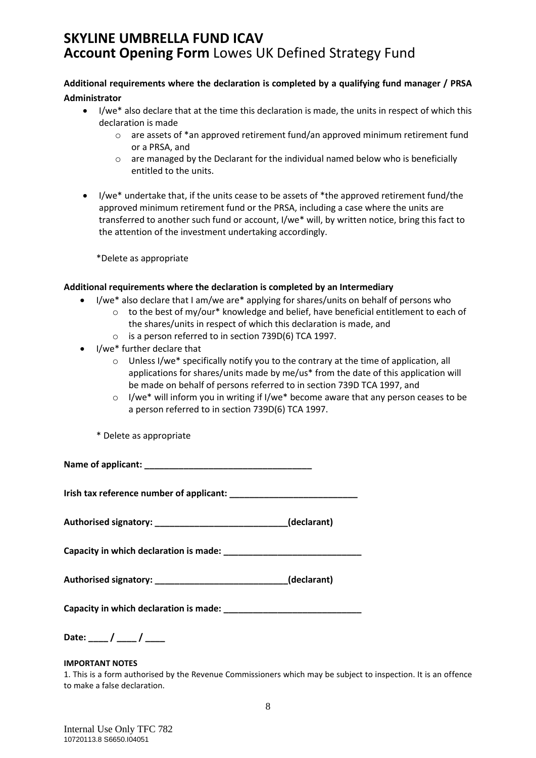### **Additional requirements where the declaration is completed by a qualifying fund manager / PRSA Administrator**

- I/we\* also declare that at the time this declaration is made, the units in respect of which this declaration is made
	- o are assets of \*an approved retirement fund/an approved minimum retirement fund or a PRSA, and
	- o are managed by the Declarant for the individual named below who is beneficially entitled to the units.
- I/we\* undertake that, if the units cease to be assets of \*the approved retirement fund/the approved minimum retirement fund or the PRSA, including a case where the units are transferred to another such fund or account, I/we\* will, by written notice, bring this fact to the attention of the investment undertaking accordingly.

\*Delete as appropriate

### **Additional requirements where the declaration is completed by an Intermediary**

- I/we\* also declare that I am/we are\* applying for shares/units on behalf of persons who
	- $\circ$  to the best of my/our\* knowledge and belief, have beneficial entitlement to each of the shares/units in respect of which this declaration is made, and
	- o is a person referred to in section 739D(6) TCA 1997.
- I/we\* further declare that
	- $\circ$  Unless I/we\* specifically notify you to the contrary at the time of application, all applications for shares/units made by me/us\* from the date of this application will be made on behalf of persons referred to in section 739D TCA 1997, and
	- $\circ$  I/we\* will inform you in writing if I/we\* become aware that any person ceases to be a person referred to in section 739D(6) TCA 1997.

\* Delete as appropriate

**Name of applicant: \_\_\_\_\_\_\_\_\_\_\_\_\_\_\_\_\_\_\_\_\_\_\_\_\_\_\_\_\_\_\_\_\_\_**

**Irish tax reference number of applicant: \_\_\_\_\_\_\_\_\_\_\_\_\_\_\_\_\_\_\_\_\_\_\_\_\_\_**

**Authorised signatory: \_\_\_\_\_\_\_\_\_\_\_\_\_\_\_\_\_\_\_\_\_\_\_\_\_\_\_(declarant)**

**Capacity in which declaration is made: \_\_\_\_\_\_\_\_\_\_\_\_\_\_\_\_\_\_\_\_\_\_\_\_\_\_\_\_**

| <b>Authorised signatory:</b> |  | (declarant) |
|------------------------------|--|-------------|
|------------------------------|--|-------------|

| Capacity in which declaration is made: |  |
|----------------------------------------|--|
|                                        |  |

Date: \_\_\_\_ / \_\_\_\_ / \_\_\_\_

### **IMPORTANT NOTES**

1. This is a form authorised by the Revenue Commissioners which may be subject to inspection. It is an offence to make a false declaration.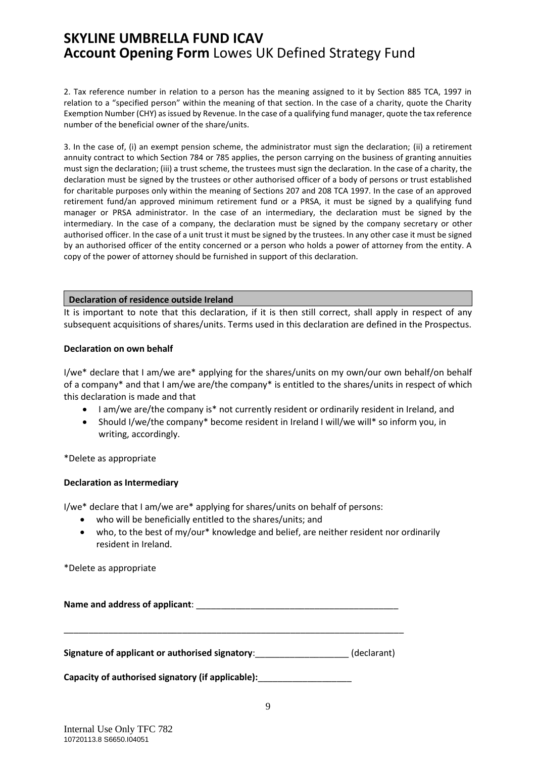2. Tax reference number in relation to a person has the meaning assigned to it by Section 885 TCA, 1997 in relation to a "specified person" within the meaning of that section. In the case of a charity, quote the Charity Exemption Number (CHY) as issued by Revenue. In the case of a qualifying fund manager, quote the tax reference number of the beneficial owner of the share/units.

3. In the case of, (i) an exempt pension scheme, the administrator must sign the declaration; (ii) a retirement annuity contract to which Section 784 or 785 applies, the person carrying on the business of granting annuities must sign the declaration; (iii) a trust scheme, the trustees must sign the declaration. In the case of a charity, the declaration must be signed by the trustees or other authorised officer of a body of persons or trust established for charitable purposes only within the meaning of Sections 207 and 208 TCA 1997. In the case of an approved retirement fund/an approved minimum retirement fund or a PRSA, it must be signed by a qualifying fund manager or PRSA administrator. In the case of an intermediary, the declaration must be signed by the intermediary. In the case of a company, the declaration must be signed by the company secretary or other authorised officer. In the case of a unit trust it must be signed by the trustees. In any other case it must be signed by an authorised officer of the entity concerned or a person who holds a power of attorney from the entity. A copy of the power of attorney should be furnished in support of this declaration.

#### **Declaration of residence outside Ireland**

It is important to note that this declaration, if it is then still correct, shall apply in respect of any subsequent acquisitions of shares/units. Terms used in this declaration are defined in the Prospectus.

#### **Declaration on own behalf**

I/we\* declare that I am/we are\* applying for the shares/units on my own/our own behalf/on behalf of a company\* and that I am/we are/the company\* is entitled to the shares/units in respect of which this declaration is made and that

- I am/we are/the company is\* not currently resident or ordinarily resident in Ireland, and
- Should I/we/the company\* become resident in Ireland I will/we will\* so inform you, in writing, accordingly.

\*Delete as appropriate

### **Declaration as Intermediary**

I/we\* declare that I am/we are\* applying for shares/units on behalf of persons:

- who will be beneficially entitled to the shares/units; and
- who, to the best of my/our\* knowledge and belief, are neither resident nor ordinarily resident in Ireland.

\*Delete as appropriate

Name and address of applicant: **Name and address of applicant**:

**Signature of applicant or authorised signatory**:\_\_\_\_\_\_\_\_\_\_\_\_\_\_\_\_\_\_\_ (declarant)

\_\_\_\_\_\_\_\_\_\_\_\_\_\_\_\_\_\_\_\_\_\_\_\_\_\_\_\_\_\_\_\_\_\_\_\_\_\_\_\_\_\_\_\_\_\_\_\_\_\_\_\_\_\_\_\_\_\_\_\_\_\_\_\_\_\_\_\_\_

**Capacity of authorised signatory (if applicable):**\_\_\_\_\_\_\_\_\_\_\_\_\_\_\_\_\_\_\_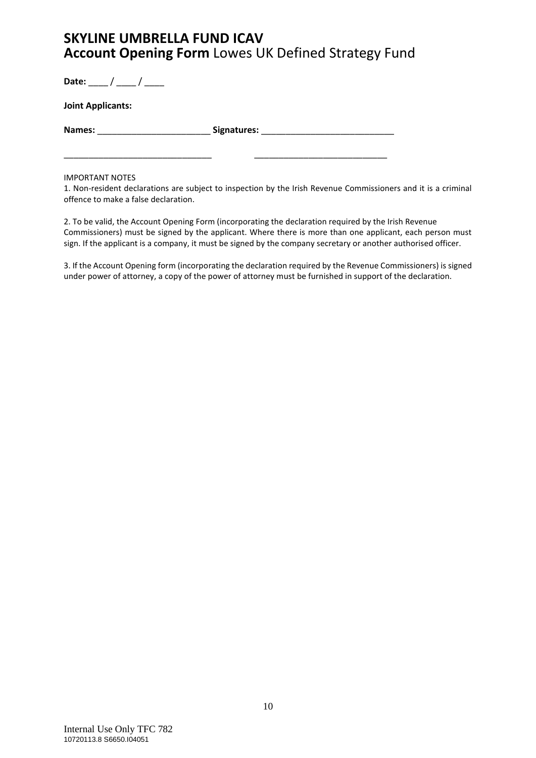Date: \_\_\_ / \_\_\_ / \_\_\_

**Joint Applicants:**

**Names:** \_\_\_\_\_\_\_\_\_\_\_\_\_\_\_\_\_\_\_\_\_\_\_ **Signatures:** \_\_\_\_\_\_\_\_\_\_\_\_\_\_\_\_\_\_\_\_\_\_\_\_\_\_\_

\_\_\_\_\_\_\_\_\_\_\_\_\_\_\_\_\_\_\_\_\_\_\_\_\_\_\_\_\_\_ \_\_\_\_\_\_\_\_\_\_\_\_\_\_\_\_\_\_\_\_\_\_\_\_\_\_\_

#### IMPORTANT NOTES

1. Non-resident declarations are subject to inspection by the Irish Revenue Commissioners and it is a criminal offence to make a false declaration.

2. To be valid, the Account Opening Form (incorporating the declaration required by the Irish Revenue Commissioners) must be signed by the applicant. Where there is more than one applicant, each person must sign. If the applicant is a company, it must be signed by the company secretary or another authorised officer.

3. If the Account Opening form (incorporating the declaration required by the Revenue Commissioners) is signed under power of attorney, a copy of the power of attorney must be furnished in support of the declaration.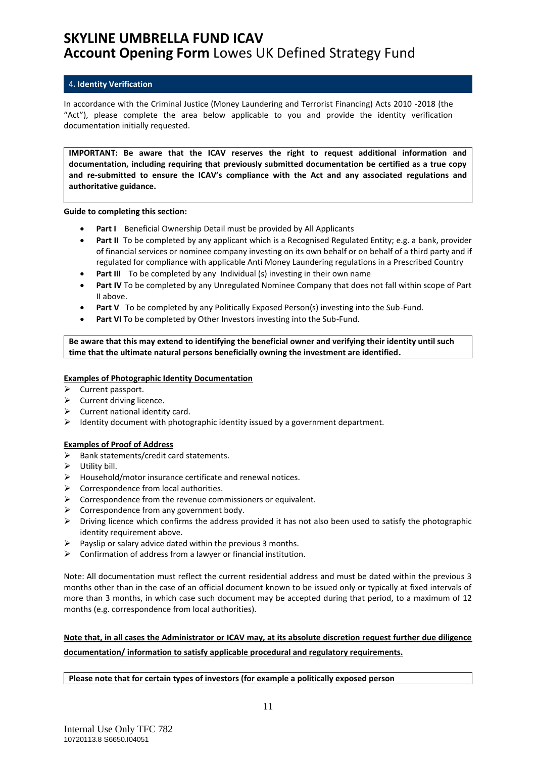#### <span id="page-10-0"></span>4**. Identity Verification**

In accordance with the Criminal Justice (Money Laundering and Terrorist Financing) Acts 2010 -2018 (the "Act"), please complete the area below applicable to you and provide the identity verification documentation initially requested.

**IMPORTANT: Be aware that the ICAV reserves the right to request additional information and documentation, including requiring that previously submitted documentation be certified as a true copy and re-submitted to ensure the ICAV's compliance with the Act and any associated regulations and authoritative guidance.**

**Guide to completing this section:**

- **Part I** Beneficial Ownership Detail must be provided by All Applicants
- **Part II** To be completed by any applicant which is a Recognised Regulated Entity; e.g. a bank, provider of financial services or nominee company investing on its own behalf or on behalf of a third party and if regulated for compliance with applicable Anti Money Laundering regulations in a Prescribed Country
- **Part III** To be completed by any Individual (s) investing in their own name
- **Part IV** To be completed by any Unregulated Nominee Company that does not fall within scope of Part II above.
- **Part V** To be completed by any Politically Exposed Person(s) investing into the Sub-Fund.
- **Part VI** To be completed by Other Investors investing into the Sub-Fund.

**Be aware that this may extend to identifying the beneficial owner and verifying their identity until such time that the ultimate natural persons beneficially owning the investment are identified.**

#### **Examples of Photographic Identity Documentation**

- ➢ Current passport.
- ➢ Current driving licence.
- $\triangleright$  Current national identity card.
- $\triangleright$  Identity document with photographic identity issued by a government department.

### **Examples of Proof of Address**

- $\triangleright$  Bank statements/credit card statements.
- $\triangleright$  Utility bill.
- ➢ Household/motor insurance certificate and renewal notices.
- ➢ Correspondence from local authorities.
- ➢ Correspondence from the revenue commissioners or equivalent.
- $\triangleright$  Correspondence from any government body.
- ➢ Driving licence which confirms the address provided it has not also been used to satisfy the photographic identity requirement above.
- $\triangleright$  Payslip or salary advice dated within the previous 3 months.
- $\triangleright$  Confirmation of address from a lawyer or financial institution.

Note: All documentation must reflect the current residential address and must be dated within the previous 3 months other than in the case of an official document known to be issued only or typically at fixed intervals of more than 3 months, in which case such document may be accepted during that period, to a maximum of 12 months (e.g. correspondence from local authorities).

### **Note that, in all cases the Administrator or ICAV may, at its absolute discretion request further due diligence documentation/ information to satisfy applicable procedural and regulatory requirements.**

**Please note that for certain types of investors (for example a politically exposed person**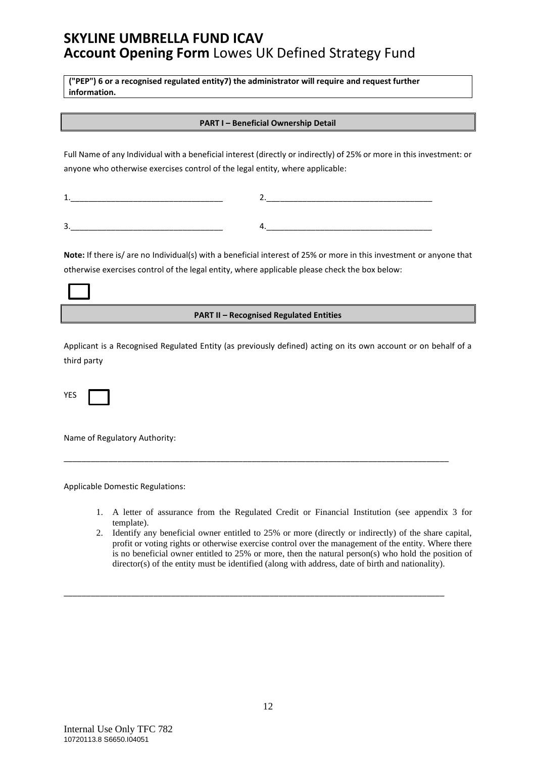**("PEP") 6 or a recognised regulated entity7) the administrator will require and request further information.**

#### **PART I – Beneficial Ownership Detail**

Full Name of any Individual with a beneficial interest (directly or indirectly) of 25% or more in this investment: or anyone who otherwise exercises control of the legal entity, where applicable:

| ____                                         |                            |
|----------------------------------------------|----------------------------|
|                                              |                            |
|                                              |                            |
| ________________<br>________<br>______<br>__ | ______<br>____<br>--<br>-- |

**Note:** If there is/ are no Individual(s) with a beneficial interest of 25% or more in this investment or anyone that otherwise exercises control of the legal entity, where applicable please check the box below:

#### **PART II – Recognised Regulated Entities**

Applicant is a Recognised Regulated Entity (as previously defined) acting on its own account or on behalf of a third party

\_\_\_\_\_\_\_\_\_\_\_\_\_\_\_\_\_\_\_\_\_\_\_\_\_\_\_\_\_\_\_\_\_\_\_\_\_\_\_\_\_\_\_\_\_\_\_\_\_\_\_\_\_\_\_\_\_\_\_\_\_\_\_\_\_\_\_\_\_\_\_\_\_\_\_\_\_\_\_\_\_\_\_\_\_\_

\_\_\_\_\_\_\_\_\_\_\_\_\_\_\_\_\_\_\_\_\_\_\_\_\_\_\_\_\_\_\_\_\_\_\_\_\_\_\_\_\_\_\_\_\_\_\_\_\_\_\_\_\_\_\_\_\_\_\_\_\_\_\_\_\_\_\_\_\_\_\_\_\_\_\_\_\_\_\_\_\_\_\_\_\_

YES

Name of Regulatory Authority:

Applicable Domestic Regulations:

- 1. A letter of assurance from the Regulated Credit or Financial Institution (see appendix 3 for template).
- 2. Identify any beneficial owner entitled to 25% or more (directly or indirectly) of the share capital, profit or voting rights or otherwise exercise control over the management of the entity. Where there is no beneficial owner entitled to 25% or more, then the natural person(s) who hold the position of director(s) of the entity must be identified (along with address, date of birth and nationality).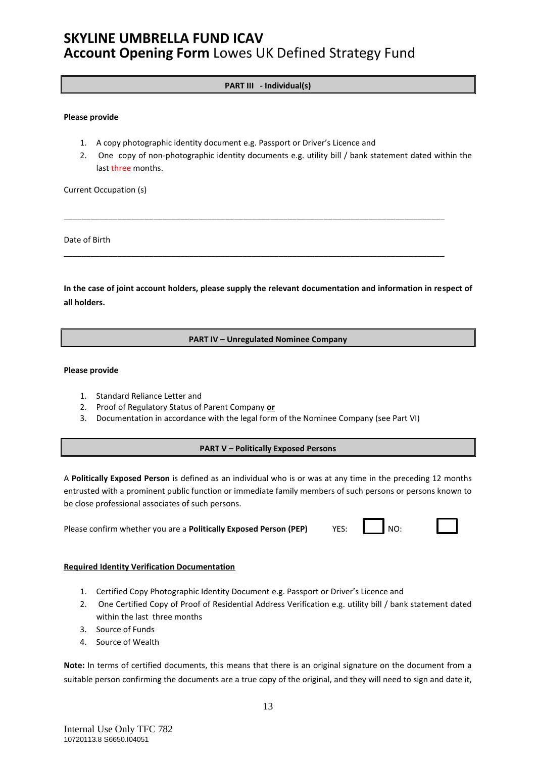### **PART III - Individual(s)**

#### **Please provide**

- 1. A copy photographic identity document e.g. Passport or Driver's Licence and
- 2. One copy of non-photographic identity documents e.g. utility bill / bank statement dated within the last three months.

Current Occupation (s)

Date of Birth

**In the case of joint account holders, please supply the relevant documentation and information in respect of all holders.** 

\_\_\_\_\_\_\_\_\_\_\_\_\_\_\_\_\_\_\_\_\_\_\_\_\_\_\_\_\_\_\_\_\_\_\_\_\_\_\_\_\_\_\_\_\_\_\_\_\_\_\_\_\_\_\_\_\_\_\_\_\_\_\_\_\_\_\_\_\_\_\_\_\_\_\_\_\_\_\_\_\_\_\_\_\_

\_\_\_\_\_\_\_\_\_\_\_\_\_\_\_\_\_\_\_\_\_\_\_\_\_\_\_\_\_\_\_\_\_\_\_\_\_\_\_\_\_\_\_\_\_\_\_\_\_\_\_\_\_\_\_\_\_\_\_\_\_\_\_\_\_\_\_\_\_\_\_\_\_\_\_\_\_\_\_\_\_\_\_\_\_

#### **PART IV – Unregulated Nominee Company**

#### **Please provide**

- 1. Standard Reliance Letter and
- 2. Proof of Regulatory Status of Parent Company **or**
- 3. Documentation in accordance with the legal form of the Nominee Company (see Part VI)

#### **PART V – Politically Exposed Persons**

A **Politically Exposed Person** is defined as an individual who is or was at any time in the preceding 12 months entrusted with a prominent public function or immediate family members of such persons or persons known to be close professional associates of such persons.

| Please confirm whether you are a Politically Exposed Person (PEP) |  | YES: NO: |
|-------------------------------------------------------------------|--|----------|
|-------------------------------------------------------------------|--|----------|

#### **Required Identity Verification Documentation**

- 1. Certified Copy Photographic Identity Document e.g. Passport or Driver's Licence and
- 2. One Certified Copy of Proof of Residential Address Verification e.g. utility bill / bank statement dated within the last three months
- 3. Source of Funds
- 4. Source of Wealth

**Note:** In terms of certified documents, this means that there is an original signature on the document from a suitable person confirming the documents are a true copy of the original, and they will need to sign and date it,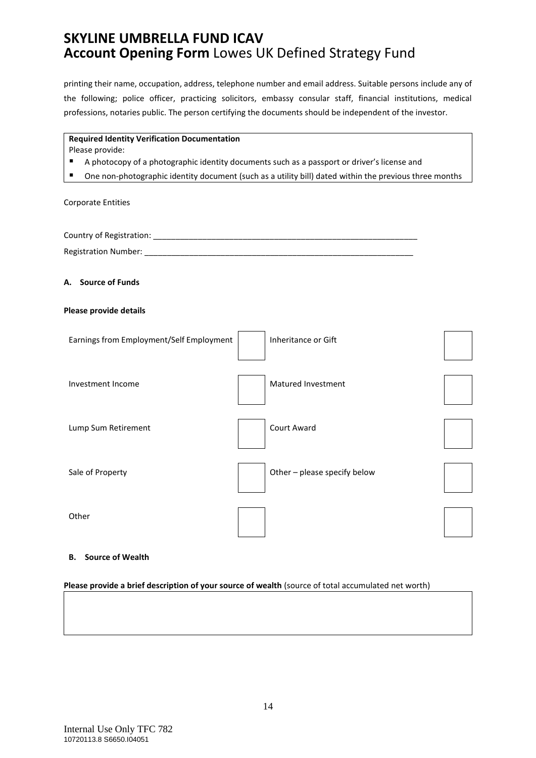printing their name, occupation, address, telephone number and email address. Suitable persons include any of the following; police officer, practicing solicitors, embassy consular staff, financial institutions, medical professions, notaries public. The person certifying the documents should be independent of the investor.

#### **Required Identity Verification Documentation**

Please provide:

- A photocopy of a photographic identity documents such as a passport or driver's license and
- One non-photographic identity document (such as a utility bill) dated within the previous three months

Corporate Entities

Country of Registration: \_\_\_\_\_\_\_\_\_\_\_\_\_\_\_\_\_\_\_\_\_\_\_\_\_\_\_\_\_\_\_\_\_\_\_\_\_\_\_\_\_\_\_\_\_\_\_\_\_\_\_\_\_\_\_\_\_\_\_ Registration Number: **Example 20** 

#### **A. Source of Funds**

#### **Please provide details**

| Earnings from Employment/Self Employment | Inheritance or Gift          |  |
|------------------------------------------|------------------------------|--|
| Investment Income                        | Matured Investment           |  |
| Lump Sum Retirement                      | Court Award                  |  |
| Sale of Property                         | Other - please specify below |  |
| Other                                    |                              |  |

#### **B. Source of Wealth**

#### **Please provide a brief description of your source of wealth** (source of total accumulated net worth)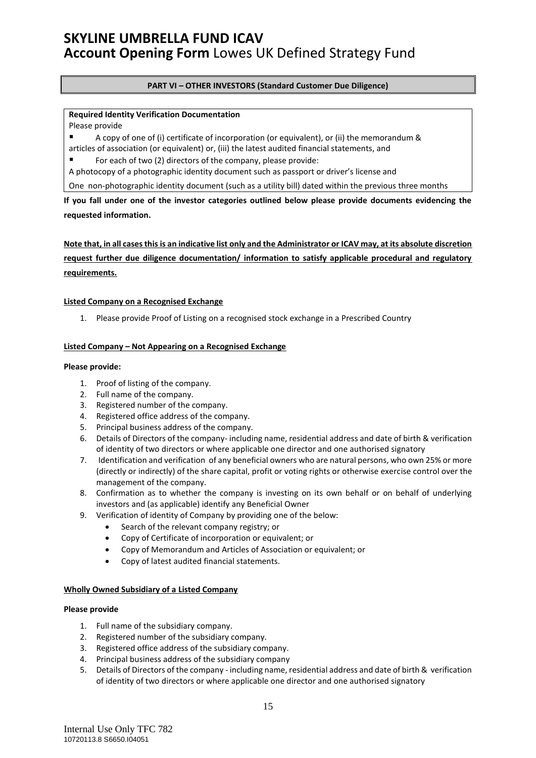#### **PART VI – OTHER INVESTORS (Standard Customer Due Diligence)**

### **Required Identity Verification Documentation**

Please provide

A copy of one of (i) certificate of incorporation (or equivalent), or (ii) the memorandum & articles of association (or equivalent) or, (iii) the latest audited financial statements, and

For each of two (2) directors of the company, please provide:

A photocopy of a photographic identity document such as passport or driver's license and

One non-photographic identity document (such as a utility bill) dated within the previous three months

**If you fall under one of the investor categories outlined below please provide documents evidencing the requested information.** 

**Note that, in all cases this is an indicative list only and the Administrator or ICAV may, at its absolute discretion request further due diligence documentation/ information to satisfy applicable procedural and regulatory requirements.**

#### **Listed Company on a Recognised Exchange**

1. Please provide Proof of Listing on a recognised stock exchange in a Prescribed Country

#### **Listed Company – Not Appearing on a Recognised Exchange**

#### **Please provide:**

- 1. Proof of listing of the company.
- 2. Full name of the company.
- 3. Registered number of the company.
- 4. Registered office address of the company.
- 5. Principal business address of the company.
- 6. Details of Directors of the company- including name, residential address and date of birth & verification of identity of two directors or where applicable one director and one authorised signatory
- 7. Identification and verification of any beneficial owners who are natural persons, who own 25% or more (directly or indirectly) of the share capital, profit or voting rights or otherwise exercise control over the management of the company.
- 8. Confirmation as to whether the company is investing on its own behalf or on behalf of underlying investors and (as applicable) identify any Beneficial Owner
- 9. Verification of identity of Company by providing one of the below:
	- Search of the relevant company registry; or
	- Copy of Certificate of incorporation or equivalent; or
	- Copy of Memorandum and Articles of Association or equivalent; or
	- Copy of latest audited financial statements.

#### **Wholly Owned Subsidiary of a Listed Company**

- 1. Full name of the subsidiary company.
- 2. Registered number of the subsidiary company.
- 3. Registered office address of the subsidiary company.
- 4. Principal business address of the subsidiary company
- 5. Details of Directors of the company including name, residential address and date of birth & verification of identity of two directors or where applicable one director and one authorised signatory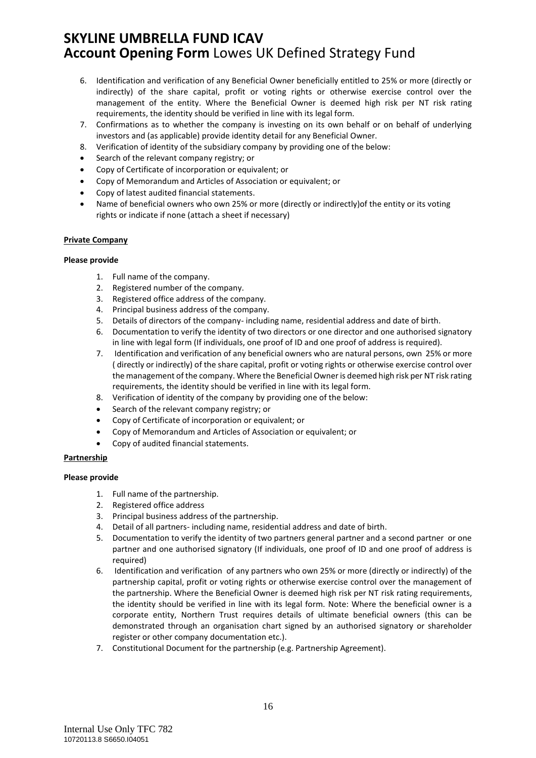- 6. Identification and verification of any Beneficial Owner beneficially entitled to 25% or more (directly or indirectly) of the share capital, profit or voting rights or otherwise exercise control over the management of the entity. Where the Beneficial Owner is deemed high risk per NT risk rating requirements, the identity should be verified in line with its legal form.
- 7. Confirmations as to whether the company is investing on its own behalf or on behalf of underlying investors and (as applicable) provide identity detail for any Beneficial Owner.
- 8. Verification of identity of the subsidiary company by providing one of the below:
- Search of the relevant company registry; or
- Copy of Certificate of incorporation or equivalent; or
- Copy of Memorandum and Articles of Association or equivalent; or
- Copy of latest audited financial statements.
- Name of beneficial owners who own 25% or more (directly or indirectly) of the entity or its voting rights or indicate if none (attach a sheet if necessary)

#### **Private Company**

#### **Please provide**

- 1. Full name of the company.
- 2. Registered number of the company.
- 3. Registered office address of the company.
- 4. Principal business address of the company.
- 5. Details of directors of the company- including name, residential address and date of birth.
- 6. Documentation to verify the identity of two directors or one director and one authorised signatory in line with legal form (If individuals, one proof of ID and one proof of address is required).
- 7. Identification and verification of any beneficial owners who are natural persons, own 25% or more ( directly or indirectly) of the share capital, profit or voting rights or otherwise exercise control over the management of the company. Where the Beneficial Owner is deemed high risk per NT risk rating requirements, the identity should be verified in line with its legal form.
- 8. Verification of identity of the company by providing one of the below:
- Search of the relevant company registry; or
- Copy of Certificate of incorporation or equivalent; or
- Copy of Memorandum and Articles of Association or equivalent; or
- Copy of audited financial statements.

#### **Partnership**

- 1. Full name of the partnership.
- 2. Registered office address
- 3. Principal business address of the partnership.
- 4. Detail of all partners- including name, residential address and date of birth.
- 5. Documentation to verify the identity of two partners general partner and a second partner or one partner and one authorised signatory (If individuals, one proof of ID and one proof of address is required)
- 6. Identification and verification of any partners who own 25% or more (directly or indirectly) of the partnership capital, profit or voting rights or otherwise exercise control over the management of the partnership. Where the Beneficial Owner is deemed high risk per NT risk rating requirements, the identity should be verified in line with its legal form. Note: Where the beneficial owner is a corporate entity, Northern Trust requires details of ultimate beneficial owners (this can be demonstrated through an organisation chart signed by an authorised signatory or shareholder register or other company documentation etc.).
- 7. Constitutional Document for the partnership (e.g. Partnership Agreement).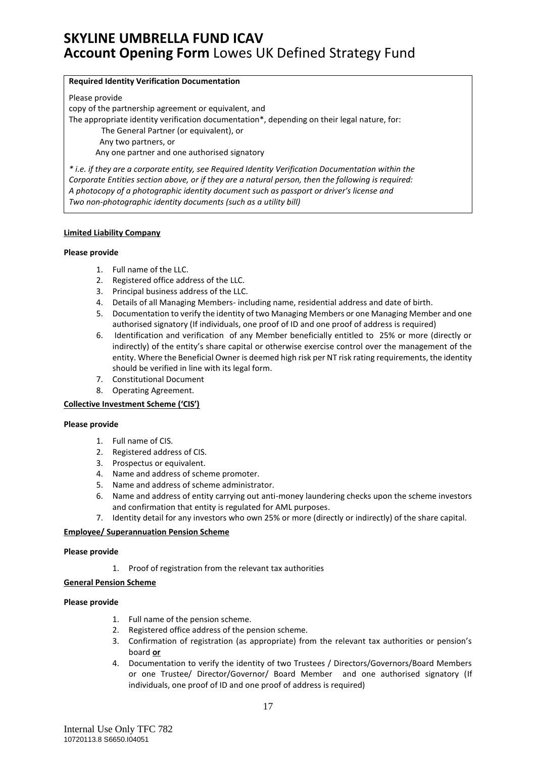#### **Required Identity Verification Documentation**

Please provide

copy of the partnership agreement or equivalent, and

The appropriate identity verification documentation\*, depending on their legal nature, for:

The General Partner (or equivalent), or

Any two partners, or

Any one partner and one authorised signatory

*\* i.e. if they are a corporate entity, see Required Identity Verification Documentation within the Corporate Entities section above, or if they are a natural person, then the following is required: A photocopy of a photographic identity document such as passport or driver's license and Two non-photographic identity documents (such as a utility bill)*

#### **Limited Liability Company**

#### **Please provide**

- 1. Full name of the LLC.
- 2. Registered office address of the LLC.
- 3. Principal business address of the LLC.
- 4. Details of all Managing Members- including name, residential address and date of birth.
- 5. Documentation to verify the identity of two Managing Members or one Managing Member and one authorised signatory (If individuals, one proof of ID and one proof of address is required)
- 6. Identification and verification of any Member beneficially entitled to 25% or more (directly or indirectly) of the entity's share capital or otherwise exercise control over the management of the entity. Where the Beneficial Owner is deemed high risk per NT risk rating requirements, the identity should be verified in line with its legal form.
- 7. Constitutional Document
- 8. Operating Agreement.

### **Collective Investment Scheme ('CIS')**

#### **Please provide**

- 1. Full name of CIS.
- 2. Registered address of CIS.
- 3. Prospectus or equivalent.
- 4. Name and address of scheme promoter.
- 5. Name and address of scheme administrator.
- 6. Name and address of entity carrying out anti-money laundering checks upon the scheme investors and confirmation that entity is regulated for AML purposes.
- 7. Identity detail for any investors who own 25% or more (directly or indirectly) of the share capital.

#### **Employee/ Superannuation Pension Scheme**

#### **Please provide**

1. Proof of registration from the relevant tax authorities

#### **General Pension Scheme**

- 1. Full name of the pension scheme.
- 2. Registered office address of the pension scheme.
- 3. Confirmation of registration (as appropriate) from the relevant tax authorities or pension's board **or**
- 4. Documentation to verify the identity of two Trustees / Directors/Governors/Board Members or one Trustee/ Director/Governor/ Board Member and one authorised signatory (If individuals, one proof of ID and one proof of address is required)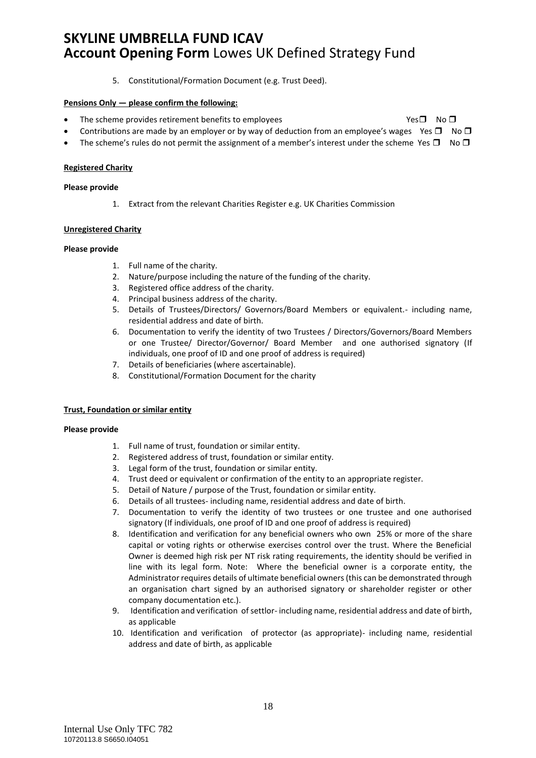5. Constitutional/Formation Document (e.g. Trust Deed).

#### **Pensions Only — please confirm the following:**

- The scheme provides retirement benefits to employees  $Yes \Box$  No  $\Box$
- Contributions are made by an employer or by way of deduction from an employee's wages Yes  $\Box$  No  $\Box$
- The scheme's rules do not permit the assignment of a member's interest under the scheme Yes  $\Box$  No  $\Box$

#### **Registered Charity**

#### **Please provide**

1. Extract from the relevant Charities Register e.g. UK Charities Commission

#### **Unregistered Charity**

#### **Please provide**

- 1. Full name of the charity.
- 2. Nature/purpose including the nature of the funding of the charity.
- 3. Registered office address of the charity.
- 4. Principal business address of the charity.
- 5. Details of Trustees/Directors/ Governors/Board Members or equivalent.- including name, residential address and date of birth.
- 6. Documentation to verify the identity of two Trustees / Directors/Governors/Board Members or one Trustee/ Director/Governor/ Board Member and one authorised signatory (If individuals, one proof of ID and one proof of address is required)
- 7. Details of beneficiaries (where ascertainable).
- 8. Constitutional/Formation Document for the charity

#### **Trust, Foundation or similar entity**

- 1. Full name of trust, foundation or similar entity.
- 2. Registered address of trust, foundation or similar entity.
- 3. Legal form of the trust, foundation or similar entity.
- 4. Trust deed or equivalent or confirmation of the entity to an appropriate register.
- 5. Detail of Nature / purpose of the Trust, foundation or similar entity.
- 6. Details of all trustees- including name, residential address and date of birth.
- 7. Documentation to verify the identity of two trustees or one trustee and one authorised signatory (If individuals, one proof of ID and one proof of address is required)
- 8. Identification and verification for any beneficial owners who own 25% or more of the share capital or voting rights or otherwise exercises control over the trust. Where the Beneficial Owner is deemed high risk per NT risk rating requirements, the identity should be verified in line with its legal form. Note: Where the beneficial owner is a corporate entity, the Administrator requires details of ultimate beneficial owners (this can be demonstrated through an organisation chart signed by an authorised signatory or shareholder register or other company documentation etc.).
- 9. Identification and verification of settlor- including name, residential address and date of birth, as applicable
- 10. Identification and verification of protector (as appropriate)- including name, residential address and date of birth, as applicable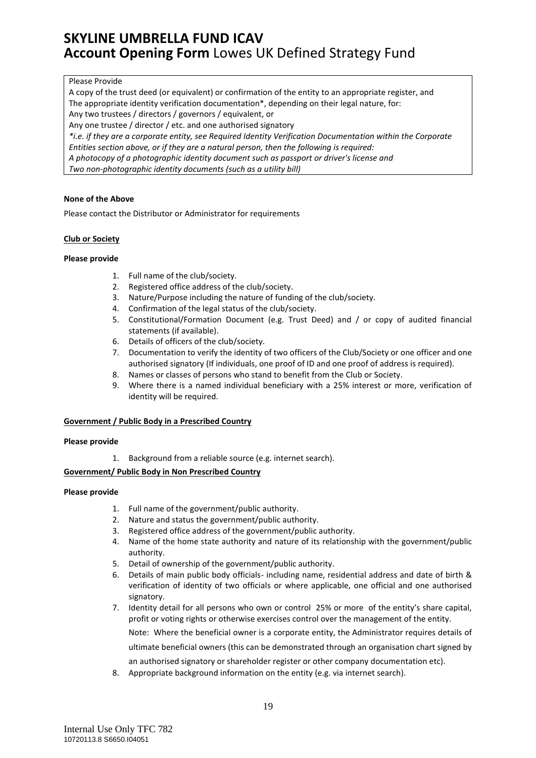#### Please Provide

A copy of the trust deed (or equivalent) or confirmation of the entity to an appropriate register, and The appropriate identity verification documentation\*, depending on their legal nature, for:

Any two trustees / directors / governors / equivalent, or

Any one trustee / director / etc. and one authorised signatory

*\*i.e. if they are a corporate entity, see Required Identity Verification Documentation within the Corporate*

*Entities section above, or if they are a natural person, then the following is required:*

*A photocopy of a photographic identity document such as passport or driver's license and*

*Two non-photographic identity documents (such as a utility bill)*

#### **None of the Above**

Please contact the Distributor or Administrator for requirements

#### **Club or Society**

#### **Please provide**

- 1. Full name of the club/society.
- 2. Registered office address of the club/society.
- 3. Nature/Purpose including the nature of funding of the club/society.
- 4. Confirmation of the legal status of the club/society.
- 5. Constitutional/Formation Document (e.g. Trust Deed) and / or copy of audited financial statements (if available).
- 6. Details of officers of the club/society.
- 7. Documentation to verify the identity of two officers of the Club/Society or one officer and one authorised signatory (If individuals, one proof of ID and one proof of address is required).
- 8. Names or classes of persons who stand to benefit from the Club or Society.
- 9. Where there is a named individual beneficiary with a 25% interest or more, verification of identity will be required.

### **Government / Public Body in a Prescribed Country**

#### **Please provide**

1. Background from a reliable source (e.g. internet search).

### **Government/ Public Body in Non Prescribed Country**

#### **Please provide**

- 1. Full name of the government/public authority.
- 2. Nature and status the government/public authority.
- 3. Registered office address of the government/public authority.
- 4. Name of the home state authority and nature of its relationship with the government/public authority.
- 5. Detail of ownership of the government/public authority.
- 6. Details of main public body officials- including name, residential address and date of birth & verification of identity of two officials or where applicable, one official and one authorised signatory.
- 7. Identity detail for all persons who own or control 25% or more of the entity's share capital, profit or voting rights or otherwise exercises control over the management of the entity.

Note: Where the beneficial owner is a corporate entity, the Administrator requires details of ultimate beneficial owners (this can be demonstrated through an organisation chart signed by an authorised signatory or shareholder register or other company documentation etc).

8. Appropriate background information on the entity (e.g. via internet search).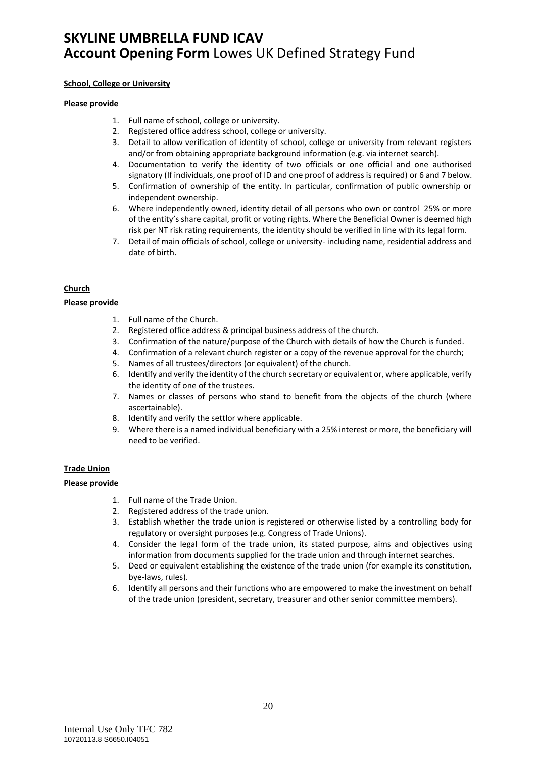#### **School, College or University**

#### **Please provide**

- 1. Full name of school, college or university.
- 2. Registered office address school, college or university.
- 3. Detail to allow verification of identity of school, college or university from relevant registers and/or from obtaining appropriate background information (e.g. via internet search).
- 4. Documentation to verify the identity of two officials or one official and one authorised signatory (If individuals, one proof of ID and one proof of address is required) or 6 and 7 below.
- 5. Confirmation of ownership of the entity. In particular, confirmation of public ownership or independent ownership.
- 6. Where independently owned, identity detail of all persons who own or control 25% or more of the entity's share capital, profit or voting rights. Where the Beneficial Owner is deemed high risk per NT risk rating requirements, the identity should be verified in line with its legal form.
- 7. Detail of main officials of school, college or university- including name, residential address and date of birth.

### **Church**

#### **Please provide**

- 1. Full name of the Church.
- 2. Registered office address & principal business address of the church.
- 3. Confirmation of the nature/purpose of the Church with details of how the Church is funded.
- 4. Confirmation of a relevant church register or a copy of the revenue approval for the church;
- 5. Names of all trustees/directors (or equivalent) of the church.
- 6. Identify and verify the identity of the church secretary or equivalent or, where applicable, verify the identity of one of the trustees.
- 7. Names or classes of persons who stand to benefit from the objects of the church (where ascertainable).
- 8. Identify and verify the settlor where applicable.
- 9. Where there is a named individual beneficiary with a 25% interest or more, the beneficiary will need to be verified.

#### **Trade Union**

- 1. Full name of the Trade Union.
- 2. Registered address of the trade union.
- 3. Establish whether the trade union is registered or otherwise listed by a controlling body for regulatory or oversight purposes (e.g. Congress of Trade Unions).
- 4. Consider the legal form of the trade union, its stated purpose, aims and objectives using information from documents supplied for the trade union and through internet searches.
- 5. Deed or equivalent establishing the existence of the trade union (for example its constitution, bye-laws, rules).
- 6. Identify all persons and their functions who are empowered to make the investment on behalf of the trade union (president, secretary, treasurer and other senior committee members).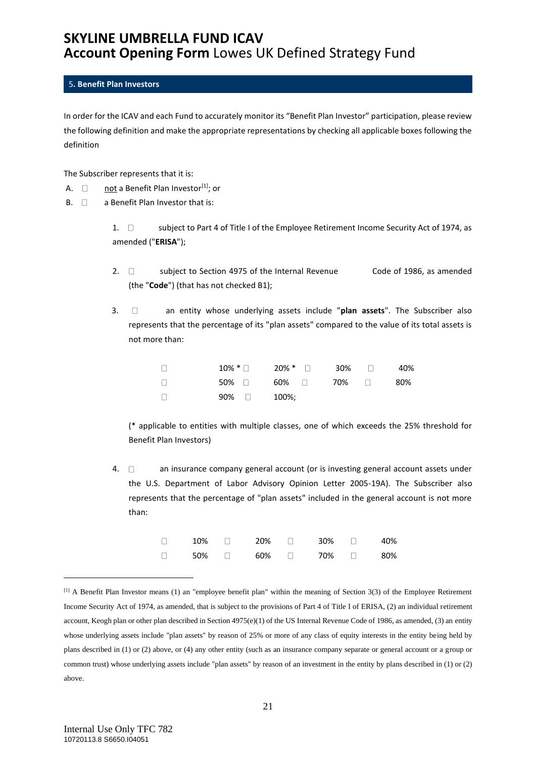### <span id="page-20-0"></span>5**. Benefit Plan Investors**

In order for the ICAV and each Fund to accurately monitor its "Benefit Plan Investor" participation, please review the following definition and make the appropriate representations by checking all applicable boxes following the definition

The Subscriber represents that it is:

- A.  $\Box$  not a Benefit Plan Investor<sup>[1]</sup>; or
- $B. \Box$  a Benefit Plan Investor that is:

1.  $\Box$  subject to Part 4 of Title I of the Employee Retirement Income Security Act of 1974, as amended ("**ERISA**");

- 2.  $\Box$  subject to Section 4975 of the Internal Revenue Code of 1986, as amended (the "**Code**") (that has not checked B1);
- 3. an entity whose underlying assets include "**plan assets**". The Subscriber also represents that the percentage of its "plan assets" compared to the value of its total assets is not more than:

| $\Box$ |              | $10\%$ * $\Box$ $20\%$ * $\Box$ $30\%$ $\Box$ |  | 40% |
|--------|--------------|-----------------------------------------------|--|-----|
| $\Box$ |              | $50\%$ $\Box$ 60% $\Box$ 70% $\Box$           |  | 80% |
| $\Box$ | $90\%$ 200%; |                                               |  |     |

(\* applicable to entities with multiple classes, one of which exceeds the 25% threshold for Benefit Plan Investors)

4.  $\Box$  an insurance company general account (or is investing general account assets under the U.S. Department of Labor Advisory Opinion Letter 2005-19A). The Subscriber also represents that the percentage of "plan assets" included in the general account is not more than:

| $10\%$ $\Box$ $20\%$ $\Box$ $30\%$ $\Box$ |  |  | 40% |
|-------------------------------------------|--|--|-----|
| 50%  □   60%  □    70%  □                 |  |  | 80% |

 $<sup>[1]</sup>$  A Benefit Plan Investor means (1) an "employee benefit plan" within the meaning of Section 3(3) of the Employee Retirement</sup> Income Security Act of 1974, as amended, that is subject to the provisions of Part 4 of Title I of ERISA, (2) an individual retirement account, Keogh plan or other plan described in Section 4975(e)(1) of the US Internal Revenue Code of 1986, as amended, (3) an entity whose underlying assets include "plan assets" by reason of 25% or more of any class of equity interests in the entity being held by plans described in (1) or (2) above, or (4) any other entity (such as an insurance company separate or general account or a group or common trust) whose underlying assets include "plan assets" by reason of an investment in the entity by plans described in (1) or (2) above.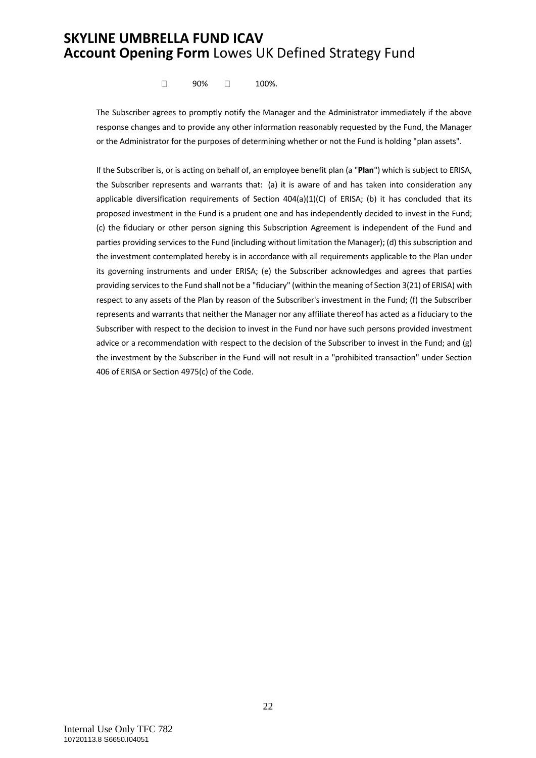$\Box$  90%  $\Box$  100%.

The Subscriber agrees to promptly notify the Manager and the Administrator immediately if the above response changes and to provide any other information reasonably requested by the Fund, the Manager or the Administrator for the purposes of determining whether or not the Fund is holding "plan assets".

If the Subscriber is, or is acting on behalf of, an employee benefit plan (a "**Plan**") which is subject to ERISA, the Subscriber represents and warrants that: (a) it is aware of and has taken into consideration any applicable diversification requirements of Section  $404(a)(1)(C)$  of ERISA; (b) it has concluded that its proposed investment in the Fund is a prudent one and has independently decided to invest in the Fund; (c) the fiduciary or other person signing this Subscription Agreement is independent of the Fund and parties providing services to the Fund (including without limitation the Manager); (d) this subscription and the investment contemplated hereby is in accordance with all requirements applicable to the Plan under its governing instruments and under ERISA; (e) the Subscriber acknowledges and agrees that parties providing services to the Fund shall not be a "fiduciary" (within the meaning of Section 3(21) of ERISA) with respect to any assets of the Plan by reason of the Subscriber's investment in the Fund; (f) the Subscriber represents and warrants that neither the Manager nor any affiliate thereof has acted as a fiduciary to the Subscriber with respect to the decision to invest in the Fund nor have such persons provided investment advice or a recommendation with respect to the decision of the Subscriber to invest in the Fund; and (g) the investment by the Subscriber in the Fund will not result in a "prohibited transaction" under Section 406 of ERISA or Section 4975(c) of the Code.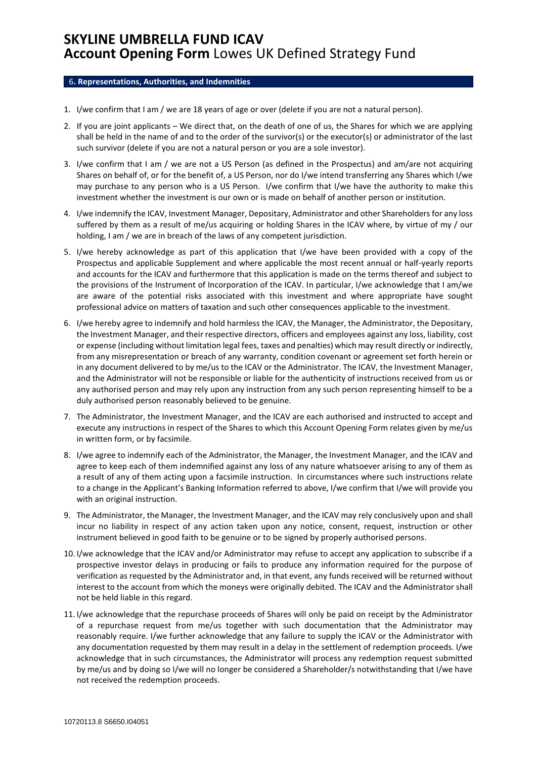#### <span id="page-22-0"></span>6**. Representations, Authorities, and Indemnities**

- 1. I/we confirm that I am / we are 18 years of age or over (delete if you are not a natural person).
- 2. If you are joint applicants We direct that, on the death of one of us, the Shares for which we are applying shall be held in the name of and to the order of the survivor(s) or the executor(s) or administrator of the last such survivor (delete if you are not a natural person or you are a sole investor).
- 3. I/we confirm that I am / we are not a US Person (as defined in the Prospectus) and am/are not acquiring Shares on behalf of, or for the benefit of, a US Person, nor do I/we intend transferring any Shares which I/we may purchase to any person who is a US Person. I/we confirm that I/we have the authority to make this investment whether the investment is our own or is made on behalf of another person or institution.
- 4. I/we indemnify the ICAV, Investment Manager, Depositary, Administrator and other Shareholders for any loss suffered by them as a result of me/us acquiring or holding Shares in the ICAV where, by virtue of my / our holding, I am / we are in breach of the laws of any competent jurisdiction.
- 5. I/we hereby acknowledge as part of this application that I/we have been provided with a copy of the Prospectus and applicable Supplement and where applicable the most recent annual or half-yearly reports and accounts for the ICAV and furthermore that this application is made on the terms thereof and subject to the provisions of the Instrument of Incorporation of the ICAV. In particular, I/we acknowledge that I am/we are aware of the potential risks associated with this investment and where appropriate have sought professional advice on matters of taxation and such other consequences applicable to the investment.
- 6. I/we hereby agree to indemnify and hold harmless the ICAV, the Manager, the Administrator, the Depositary, the Investment Manager, and their respective directors, officers and employees against any loss, liability, cost or expense (including without limitation legal fees, taxes and penalties) which may result directly or indirectly, from any misrepresentation or breach of any warranty, condition covenant or agreement set forth herein or in any document delivered to by me/us to the ICAV or the Administrator. The ICAV, the Investment Manager, and the Administrator will not be responsible or liable for the authenticity of instructions received from us or any authorised person and may rely upon any instruction from any such person representing himself to be a duly authorised person reasonably believed to be genuine.
- 7. The Administrator, the Investment Manager, and the ICAV are each authorised and instructed to accept and execute any instructions in respect of the Shares to which this Account Opening Form relates given by me/us in written form, or by facsimile.
- 8. I/we agree to indemnify each of the Administrator, the Manager, the Investment Manager, and the ICAV and agree to keep each of them indemnified against any loss of any nature whatsoever arising to any of them as a result of any of them acting upon a facsimile instruction. In circumstances where such instructions relate to a change in the Applicant's Banking Information referred to above, I/we confirm that I/we will provide you with an original instruction.
- 9. The Administrator, the Manager, the Investment Manager, and the ICAV may rely conclusively upon and shall incur no liability in respect of any action taken upon any notice, consent, request, instruction or other instrument believed in good faith to be genuine or to be signed by properly authorised persons.
- 10. I/we acknowledge that the ICAV and/or Administrator may refuse to accept any application to subscribe if a prospective investor delays in producing or fails to produce any information required for the purpose of verification as requested by the Administrator and, in that event, any funds received will be returned without interest to the account from which the moneys were originally debited. The ICAV and the Administrator shall not be held liable in this regard.
- 11. I/we acknowledge that the repurchase proceeds of Shares will only be paid on receipt by the Administrator of a repurchase request from me/us together with such documentation that the Administrator may reasonably require. I/we further acknowledge that any failure to supply the ICAV or the Administrator with any documentation requested by them may result in a delay in the settlement of redemption proceeds. I/we acknowledge that in such circumstances, the Administrator will process any redemption request submitted by me/us and by doing so I/we will no longer be considered a Shareholder/s notwithstanding that I/we have not received the redemption proceeds.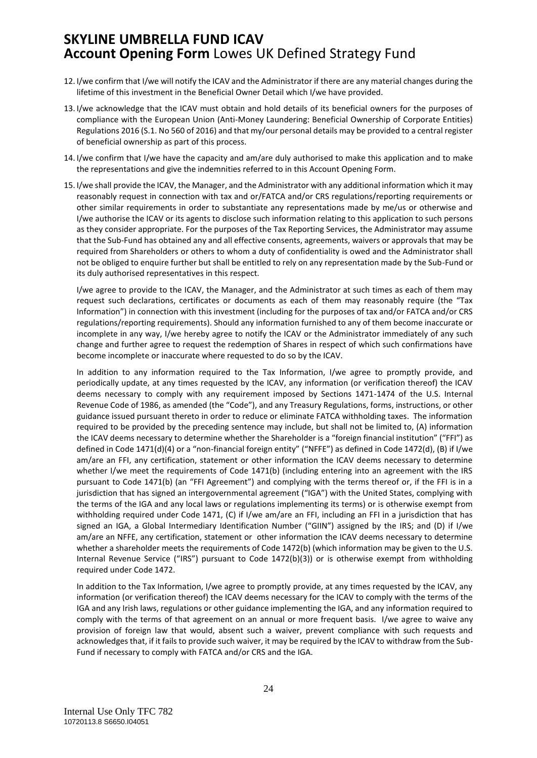- 12. I/we confirm that I/we will notify the ICAV and the Administrator if there are any material changes during the lifetime of this investment in the Beneficial Owner Detail which I/we have provided.
- 13. I/we acknowledge that the ICAV must obtain and hold details of its beneficial owners for the purposes of compliance with the European Union (Anti-Money Laundering: Beneficial Ownership of Corporate Entities) Regulations 2016 (S.1. No 560 of 2016) and that my/our personal details may be provided to a central register of beneficial ownership as part of this process.
- 14. I/we confirm that I/we have the capacity and am/are duly authorised to make this application and to make the representations and give the indemnities referred to in this Account Opening Form.
- 15. I/we shall provide the ICAV, the Manager, and the Administrator with any additional information which it may reasonably request in connection with tax and or/FATCA and/or CRS regulations/reporting requirements or other similar requirements in order to substantiate any representations made by me/us or otherwise and I/we authorise the ICAV or its agents to disclose such information relating to this application to such persons as they consider appropriate. For the purposes of the Tax Reporting Services, the Administrator may assume that the Sub-Fund has obtained any and all effective consents, agreements, waivers or approvals that may be required from Shareholders or others to whom a duty of confidentiality is owed and the Administrator shall not be obliged to enquire further but shall be entitled to rely on any representation made by the Sub-Fund or its duly authorised representatives in this respect.

I/we agree to provide to the ICAV, the Manager, and the Administrator at such times as each of them may request such declarations, certificates or documents as each of them may reasonably require (the "Tax Information") in connection with this investment (including for the purposes of tax and/or FATCA and/or CRS regulations/reporting requirements). Should any information furnished to any of them become inaccurate or incomplete in any way, I/we hereby agree to notify the ICAV or the Administrator immediately of any such change and further agree to request the redemption of Shares in respect of which such confirmations have become incomplete or inaccurate where requested to do so by the ICAV.

In addition to any information required to the Tax Information, I/we agree to promptly provide, and periodically update, at any times requested by the ICAV, any information (or verification thereof) the ICAV deems necessary to comply with any requirement imposed by Sections 1471-1474 of the U.S. Internal Revenue Code of 1986, as amended (the "Code"), and any Treasury Regulations, forms, instructions, or other guidance issued pursuant thereto in order to reduce or eliminate FATCA withholding taxes. The information required to be provided by the preceding sentence may include, but shall not be limited to, (A) information the ICAV deems necessary to determine whether the Shareholder is a "foreign financial institution" ("FFI") as defined in Code 1471(d)(4) or a "non-financial foreign entity" ("NFFE") as defined in Code 1472(d), (B) if I/we am/are an FFI, any certification, statement or other information the ICAV deems necessary to determine whether I/we meet the requirements of Code 1471(b) (including entering into an agreement with the IRS pursuant to Code 1471(b) (an "FFI Agreement") and complying with the terms thereof or, if the FFI is in a jurisdiction that has signed an intergovernmental agreement ("IGA") with the United States, complying with the terms of the IGA and any local laws or regulations implementing its terms) or is otherwise exempt from withholding required under Code 1471, (C) if I/we am/are an FFI, including an FFI in a jurisdiction that has signed an IGA, a Global Intermediary Identification Number ("GIIN") assigned by the IRS; and (D) if I/we am/are an NFFE, any certification, statement or other information the ICAV deems necessary to determine whether a shareholder meets the requirements of Code 1472(b) (which information may be given to the U.S. Internal Revenue Service ("IRS") pursuant to Code 1472(b)(3)) or is otherwise exempt from withholding required under Code 1472.

In addition to the Tax Information, I/we agree to promptly provide, at any times requested by the ICAV, any information (or verification thereof) the ICAV deems necessary for the ICAV to comply with the terms of the IGA and any Irish laws, regulations or other guidance implementing the IGA, and any information required to comply with the terms of that agreement on an annual or more frequent basis. I/we agree to waive any provision of foreign law that would, absent such a waiver, prevent compliance with such requests and acknowledges that, if it fails to provide such waiver, it may be required by the ICAV to withdraw from the Sub-Fund if necessary to comply with FATCA and/or CRS and the IGA.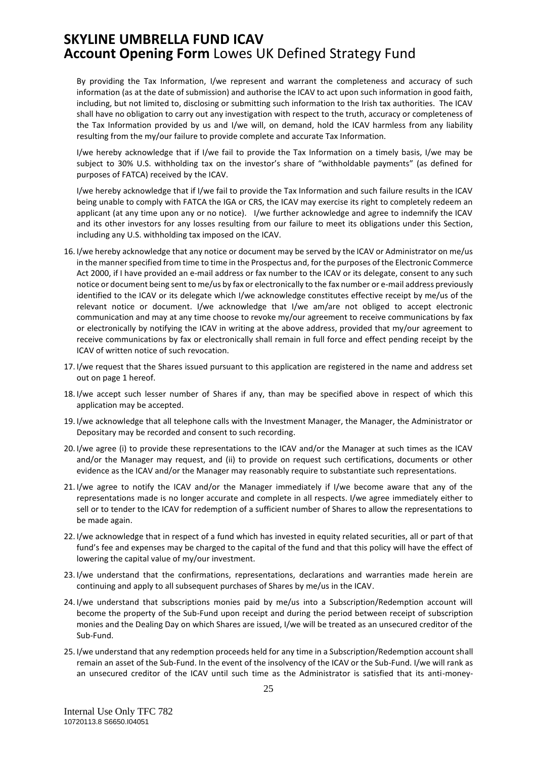By providing the Tax Information, I/we represent and warrant the completeness and accuracy of such information (as at the date of submission) and authorise the ICAV to act upon such information in good faith, including, but not limited to, disclosing or submitting such information to the Irish tax authorities. The ICAV shall have no obligation to carry out any investigation with respect to the truth, accuracy or completeness of the Tax Information provided by us and I/we will, on demand, hold the ICAV harmless from any liability resulting from the my/our failure to provide complete and accurate Tax Information.

I/we hereby acknowledge that if I/we fail to provide the Tax Information on a timely basis, I/we may be subject to 30% U.S. withholding tax on the investor's share of "withholdable payments" (as defined for purposes of FATCA) received by the ICAV.

I/we hereby acknowledge that if I/we fail to provide the Tax Information and such failure results in the ICAV being unable to comply with FATCA the IGA or CRS, the ICAV may exercise its right to completely redeem an applicant (at any time upon any or no notice). I/we further acknowledge and agree to indemnify the ICAV and its other investors for any losses resulting from our failure to meet its obligations under this Section, including any U.S. withholding tax imposed on the ICAV.

- 16. I/we hereby acknowledge that any notice or document may be served by the ICAV or Administrator on me/us in the manner specified from time to time in the Prospectus and, for the purposes of the Electronic Commerce Act 2000, if I have provided an e-mail address or fax number to the ICAV or its delegate, consent to any such notice or document being sent to me/us by fax or electronically to the fax number or e-mail address previously identified to the ICAV or its delegate which I/we acknowledge constitutes effective receipt by me/us of the relevant notice or document. I/we acknowledge that I/we am/are not obliged to accept electronic communication and may at any time choose to revoke my/our agreement to receive communications by fax or electronically by notifying the ICAV in writing at the above address, provided that my/our agreement to receive communications by fax or electronically shall remain in full force and effect pending receipt by the ICAV of written notice of such revocation.
- 17. I/we request that the Shares issued pursuant to this application are registered in the name and address set out on page 1 hereof.
- 18. I/we accept such lesser number of Shares if any, than may be specified above in respect of which this application may be accepted.
- 19. I/we acknowledge that all telephone calls with the Investment Manager, the Manager, the Administrator or Depositary may be recorded and consent to such recording.
- 20. I/we agree (i) to provide these representations to the ICAV and/or the Manager at such times as the ICAV and/or the Manager may request, and (ii) to provide on request such certifications, documents or other evidence as the ICAV and/or the Manager may reasonably require to substantiate such representations.
- 21. I/we agree to notify the ICAV and/or the Manager immediately if I/we become aware that any of the representations made is no longer accurate and complete in all respects. I/we agree immediately either to sell or to tender to the ICAV for redemption of a sufficient number of Shares to allow the representations to be made again.
- 22. I/we acknowledge that in respect of a fund which has invested in equity related securities, all or part of that fund's fee and expenses may be charged to the capital of the fund and that this policy will have the effect of lowering the capital value of my/our investment.
- 23. I/we understand that the confirmations, representations, declarations and warranties made herein are continuing and apply to all subsequent purchases of Shares by me/us in the ICAV.
- 24. I/we understand that subscriptions monies paid by me/us into a Subscription/Redemption account will become the property of the Sub-Fund upon receipt and during the period between receipt of subscription monies and the Dealing Day on which Shares are issued, I/we will be treated as an unsecured creditor of the Sub-Fund.
- 25. I/we understand that any redemption proceeds held for any time in a Subscription/Redemption account shall remain an asset of the Sub-Fund. In the event of the insolvency of the ICAV or the Sub-Fund. I/we will rank as an unsecured creditor of the ICAV until such time as the Administrator is satisfied that its anti-money-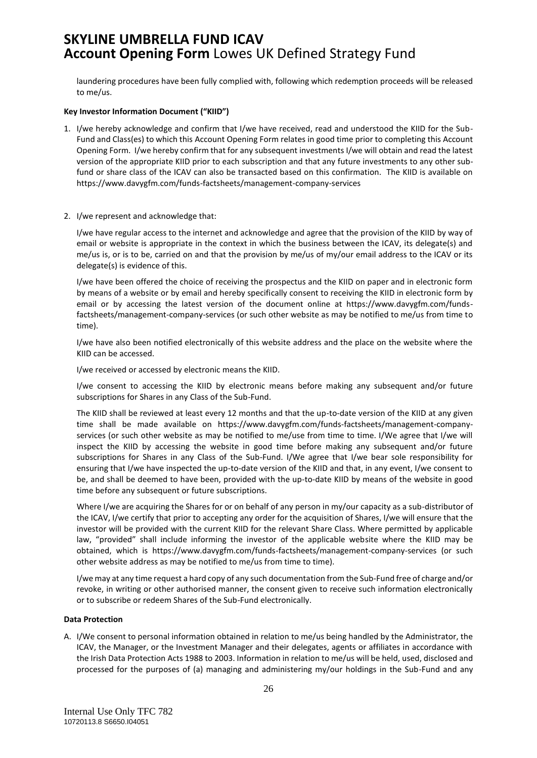laundering procedures have been fully complied with, following which redemption proceeds will be released to me/us.

#### **Key Investor Information Document ("KIID")**

- 1. I/we hereby acknowledge and confirm that I/we have received, read and understood the KIID for the Sub-Fund and Class(es) to which this Account Opening Form relates in good time prior to completing this Account Opening Form. I/we hereby confirm that for any subsequent investments I/we will obtain and read the latest version of the appropriate KIID prior to each subscription and that any future investments to any other subfund or share class of the ICAV can also be transacted based on this confirmation. The KIID is available on https://www.davygfm.com/funds-factsheets/management-company-services
- 2. I/we represent and acknowledge that:

I/we have regular access to the internet and acknowledge and agree that the provision of the KIID by way of email or website is appropriate in the context in which the business between the ICAV, its delegate(s) and me/us is, or is to be, carried on and that the provision by me/us of my/our email address to the ICAV or its delegate(s) is evidence of this.

I/we have been offered the choice of receiving the prospectus and the KIID on paper and in electronic form by means of a website or by email and hereby specifically consent to receiving the KIID in electronic form by email or by accessing the latest version of the document online at https://www.davygfm.com/fundsfactsheets/management-company-services (or such other website as may be notified to me/us from time to time).

I/we have also been notified electronically of this website address and the place on the website where the KIID can be accessed.

I/we received or accessed by electronic means the KIID.

I/we consent to accessing the KIID by electronic means before making any subsequent and/or future subscriptions for Shares in any Class of the Sub-Fund.

The KIID shall be reviewed at least every 12 months and that the up-to-date version of the KIID at any given time shall be made available on https://www.davygfm.com/funds-factsheets/management-companyservices (or such other website as may be notified to me/use from time to time. I/We agree that I/we will inspect the KIID by accessing the website in good time before making any subsequent and/or future subscriptions for Shares in any Class of the Sub-Fund. I/We agree that I/we bear sole responsibility for ensuring that I/we have inspected the up-to-date version of the KIID and that, in any event, I/we consent to be, and shall be deemed to have been, provided with the up-to-date KIID by means of the website in good time before any subsequent or future subscriptions.

Where I/we are acquiring the Shares for or on behalf of any person in my/our capacity as a sub-distributor of the ICAV, I/we certify that prior to accepting any order for the acquisition of Shares, I/we will ensure that the investor will be provided with the current KIID for the relevant Share Class. Where permitted by applicable law, "provided" shall include informing the investor of the applicable website where the KIID may be obtained, which is https://www.davygfm.com/funds-factsheets/management-company-services (or such other website address as may be notified to me/us from time to time).

I/we may at any time request a hard copy of any such documentation from the Sub-Fund free of charge and/or revoke, in writing or other authorised manner, the consent given to receive such information electronically or to subscribe or redeem Shares of the Sub-Fund electronically.

#### **Data Protection**

A. I/We consent to personal information obtained in relation to me/us being handled by the Administrator, the ICAV, the Manager, or the Investment Manager and their delegates, agents or affiliates in accordance with the Irish Data Protection Acts 1988 to 2003. Information in relation to me/us will be held, used, disclosed and processed for the purposes of (a) managing and administering my/our holdings in the Sub-Fund and any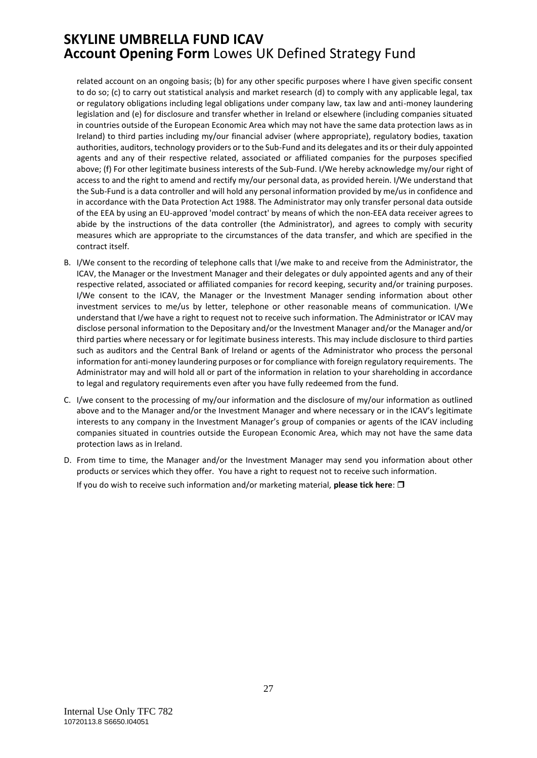related account on an ongoing basis; (b) for any other specific purposes where I have given specific consent to do so; (c) to carry out statistical analysis and market research (d) to comply with any applicable legal, tax or regulatory obligations including legal obligations under company law, tax law and anti-money laundering legislation and (e) for disclosure and transfer whether in Ireland or elsewhere (including companies situated in countries outside of the European Economic Area which may not have the same data protection laws as in Ireland) to third parties including my/our financial adviser (where appropriate), regulatory bodies, taxation authorities, auditors, technology providers or to the Sub-Fund and its delegates and its or their duly appointed agents and any of their respective related, associated or affiliated companies for the purposes specified above; (f) For other legitimate business interests of the Sub-Fund. I/We hereby acknowledge my/our right of access to and the right to amend and rectify my/our personal data, as provided herein. I/We understand that the Sub-Fund is a data controller and will hold any personal information provided by me/us in confidence and in accordance with the Data Protection Act 1988. The Administrator may only transfer personal data outside of the EEA by using an EU-approved 'model contract' by means of which the non-EEA data receiver agrees to abide by the instructions of the data controller (the Administrator), and agrees to comply with security measures which are appropriate to the circumstances of the data transfer, and which are specified in the contract itself.

- B. I/We consent to the recording of telephone calls that I/we make to and receive from the Administrator, the ICAV, the Manager or the Investment Manager and their delegates or duly appointed agents and any of their respective related, associated or affiliated companies for record keeping, security and/or training purposes. I/We consent to the ICAV, the Manager or the Investment Manager sending information about other investment services to me/us by letter, telephone or other reasonable means of communication. I/We understand that I/we have a right to request not to receive such information. The Administrator or ICAV may disclose personal information to the Depositary and/or the Investment Manager and/or the Manager and/or third parties where necessary or for legitimate business interests. This may include disclosure to third parties such as auditors and the Central Bank of Ireland or agents of the Administrator who process the personal information for anti-money laundering purposes or for compliance with foreign regulatory requirements. The Administrator may and will hold all or part of the information in relation to your shareholding in accordance to legal and regulatory requirements even after you have fully redeemed from the fund.
- C. I/we consent to the processing of my/our information and the disclosure of my/our information as outlined above and to the Manager and/or the Investment Manager and where necessary or in the ICAV's legitimate interests to any company in the Investment Manager's group of companies or agents of the ICAV including companies situated in countries outside the European Economic Area, which may not have the same data protection laws as in Ireland.
- D. From time to time, the Manager and/or the Investment Manager may send you information about other products or services which they offer. You have a right to request not to receive such information.

If you do wish to receive such information and/or marketing material, **please tick here**: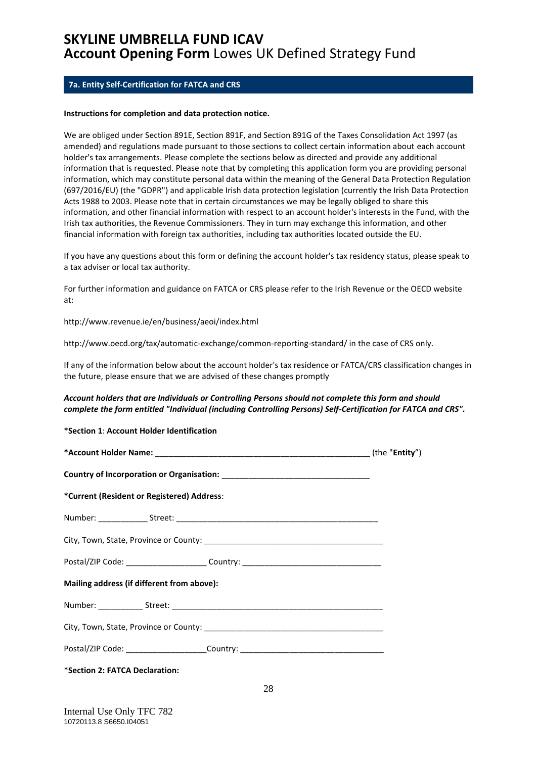### <span id="page-27-0"></span>**7a. Entity Self-Certification for FATCA and CRS**

#### **Instructions for completion and data protection notice.**

We are obliged under Section 891E, Section 891F, and Section 891G of the Taxes Consolidation Act 1997 (as amended) and regulations made pursuant to those sections to collect certain information about each account holder's tax arrangements. Please complete the sections below as directed and provide any additional information that is requested. Please note that by completing this application form you are providing personal information, which may constitute personal data within the meaning of the General Data Protection Regulation (697/2016/EU) (the "GDPR") and applicable Irish data protection legislation (currently the Irish Data Protection Acts 1988 to 2003. Please note that in certain circumstances we may be legally obliged to share this information, and other financial information with respect to an account holder's interests in the Fund, with the Irish tax authorities, the Revenue Commissioners. They in turn may exchange this information, and other financial information with foreign tax authorities, including tax authorities located outside the EU.

If you have any questions about this form or defining the account holder's tax residency status, please speak to a tax adviser or local tax authority.

For further information and guidance on FATCA or CRS please refer to the Irish Revenue or the OECD website at:

http://www.revenue.ie/en/business/aeoi/index.html

http://www.oecd.org/tax/automatic-exchange/common-reporting-standard/ in the case of CRS only.

If any of the information below about the account holder's tax residence or FATCA/CRS classification changes in the future, please ensure that we are advised of these changes promptly

#### *Account holders that are Individuals or Controlling Persons should not complete this form and should complete the form entitled "Individual (including Controlling Persons) Self-Certification for FATCA and CRS".*

#### **\*Section 1**: **Account Holder Identification**

| *Current (Resident or Registered) Address:                                       |  |
|----------------------------------------------------------------------------------|--|
|                                                                                  |  |
|                                                                                  |  |
| Postal/ZIP Code: _______________________Country: _______________________________ |  |
| Mailing address (if different from above):                                       |  |
|                                                                                  |  |
|                                                                                  |  |
| Postal/ZIP Code: ________________________Country: ______________________________ |  |
| *Section 2: FATCA Declaration:                                                   |  |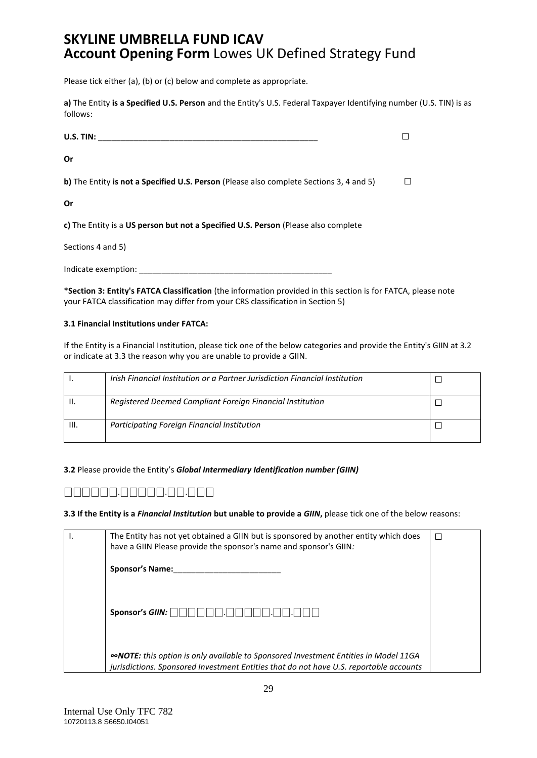Please tick either (a), (b) or (c) below and complete as appropriate.

**a)** The Entity **is a Specified U.S. Person** and the Entity's U.S. Federal Taxpayer Identifying number (U.S. TIN) is as follows:

| U.S. TIN:                                                                               |  |
|-----------------------------------------------------------------------------------------|--|
| Or                                                                                      |  |
| b) The Entity is not a Specified U.S. Person (Please also complete Sections 3, 4 and 5) |  |
| Or                                                                                      |  |
| c) The Entity is a US person but not a Specified U.S. Person (Please also complete      |  |
| Sections 4 and 5)                                                                       |  |
|                                                                                         |  |

Indicate exemption:

**\*Section 3: Entity's FATCA Classification** (the information provided in this section is for FATCA, please note your FATCA classification may differ from your CRS classification in Section 5)

#### **3.1 Financial Institutions under FATCA:**

If the Entity is a Financial Institution, please tick one of the below categories and provide the Entity's GIIN at 3.2 or indicate at 3.3 the reason why you are unable to provide a GIIN.

|    | Irish Financial Institution or a Partner Jurisdiction Financial Institution |  |
|----|-----------------------------------------------------------------------------|--|
|    | Registered Deemed Compliant Foreign Financial Institution                   |  |
| Ш. | Participating Foreign Financial Institution                                 |  |

#### **3.2** Please provide the Entity's *Global Intermediary Identification number (GIIN)*

### ⎕⎕⎕⎕⎕⎕.⎕⎕⎕⎕⎕.⎕⎕.⎕⎕⎕

**3.3 If the Entity is a** *Financial Institution* **but unable to provide a** *GIIN***,** please tick one of the below reasons:

| ۱. | The Entity has not yet obtained a GIIN but is sponsored by another entity which does<br>have a GIIN Please provide the sponsor's name and sponsor's GIIN:                            | П |
|----|--------------------------------------------------------------------------------------------------------------------------------------------------------------------------------------|---|
|    | <b>Sponsor's Name:</b>                                                                                                                                                               |   |
|    | Sponsor's GIIN:                                                                                                                                                                      |   |
|    | <b>«NOTE:</b> this option is only available to Sponsored Investment Entities in Model 11GA<br>jurisdictions. Sponsored Investment Entities that do not have U.S. reportable accounts |   |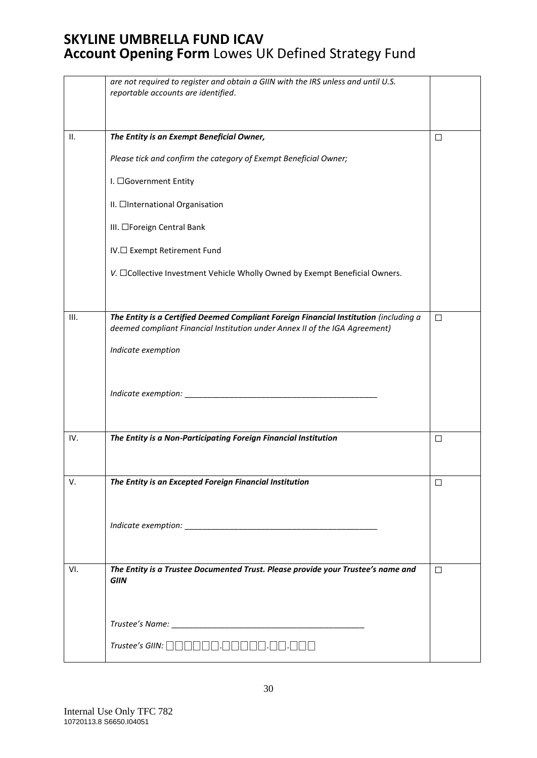|      | are not required to register and obtain a GIIN with the IRS unless and until U.S.                                                                                                                                                                                                                                                                                                                                                                                                                                                                                                                                                                     |        |
|------|-------------------------------------------------------------------------------------------------------------------------------------------------------------------------------------------------------------------------------------------------------------------------------------------------------------------------------------------------------------------------------------------------------------------------------------------------------------------------------------------------------------------------------------------------------------------------------------------------------------------------------------------------------|--------|
|      | reportable accounts are identified.                                                                                                                                                                                                                                                                                                                                                                                                                                                                                                                                                                                                                   |        |
|      |                                                                                                                                                                                                                                                                                                                                                                                                                                                                                                                                                                                                                                                       |        |
| II.  | The Entity is an Exempt Beneficial Owner,                                                                                                                                                                                                                                                                                                                                                                                                                                                                                                                                                                                                             | $\Box$ |
|      | Please tick and confirm the category of Exempt Beneficial Owner;                                                                                                                                                                                                                                                                                                                                                                                                                                                                                                                                                                                      |        |
|      | I. □Government Entity                                                                                                                                                                                                                                                                                                                                                                                                                                                                                                                                                                                                                                 |        |
|      | II. □International Organisation                                                                                                                                                                                                                                                                                                                                                                                                                                                                                                                                                                                                                       |        |
|      | III. □Foreign Central Bank                                                                                                                                                                                                                                                                                                                                                                                                                                                                                                                                                                                                                            |        |
|      | IV.□ Exempt Retirement Fund                                                                                                                                                                                                                                                                                                                                                                                                                                                                                                                                                                                                                           |        |
|      | V. □Collective Investment Vehicle Wholly Owned by Exempt Beneficial Owners.                                                                                                                                                                                                                                                                                                                                                                                                                                                                                                                                                                           |        |
|      |                                                                                                                                                                                                                                                                                                                                                                                                                                                                                                                                                                                                                                                       |        |
| III. | The Entity is a Certified Deemed Compliant Foreign Financial Institution (including a<br>deemed compliant Financial Institution under Annex II of the IGA Agreement)                                                                                                                                                                                                                                                                                                                                                                                                                                                                                  | $\Box$ |
|      | Indicate exemption                                                                                                                                                                                                                                                                                                                                                                                                                                                                                                                                                                                                                                    |        |
|      |                                                                                                                                                                                                                                                                                                                                                                                                                                                                                                                                                                                                                                                       |        |
|      |                                                                                                                                                                                                                                                                                                                                                                                                                                                                                                                                                                                                                                                       |        |
|      |                                                                                                                                                                                                                                                                                                                                                                                                                                                                                                                                                                                                                                                       |        |
| IV.  | The Entity is a Non-Participating Foreign Financial Institution                                                                                                                                                                                                                                                                                                                                                                                                                                                                                                                                                                                       | $\Box$ |
|      |                                                                                                                                                                                                                                                                                                                                                                                                                                                                                                                                                                                                                                                       |        |
| V.   | The Entity is an Excepted Foreign Financial Institution                                                                                                                                                                                                                                                                                                                                                                                                                                                                                                                                                                                               | □      |
|      |                                                                                                                                                                                                                                                                                                                                                                                                                                                                                                                                                                                                                                                       |        |
|      |                                                                                                                                                                                                                                                                                                                                                                                                                                                                                                                                                                                                                                                       |        |
|      |                                                                                                                                                                                                                                                                                                                                                                                                                                                                                                                                                                                                                                                       |        |
| VI.  | The Entity is a Trustee Documented Trust. Please provide your Trustee's name and<br><b>GIIN</b>                                                                                                                                                                                                                                                                                                                                                                                                                                                                                                                                                       | $\Box$ |
|      |                                                                                                                                                                                                                                                                                                                                                                                                                                                                                                                                                                                                                                                       |        |
|      |                                                                                                                                                                                                                                                                                                                                                                                                                                                                                                                                                                                                                                                       |        |
|      |                                                                                                                                                                                                                                                                                                                                                                                                                                                                                                                                                                                                                                                       |        |
|      | $\mathit{Trustee's \hspace{0.1cm} GIII}\colon \textcolor{red}{\textcolor{blue}{\square}} \textcolor{blue}{\textcolor{blue}{\square}} \textcolor{blue}{\textcolor{blue}{\square}} \textcolor{blue}{\textcolor{blue}{\square}} \textcolor{blue}{\textcolor{blue}{\square}} \textcolor{blue}{\textcolor{blue}{\square}} \textcolor{blue}{\textcolor{blue}{\square}} \textcolor{blue}{\textcolor{blue}{\square}} \textcolor{blue}{\textcolor{blue}{\square}} \textcolor{blue}{\textcolor{blue}{\square}} \textcolor{blue}{\textcolor{blue}{\square}} \textcolor{blue}{\textcolor{blue}{\square}} \textcolor{blue}{\textcolor{blue}{\square}} \textcolor{$ |        |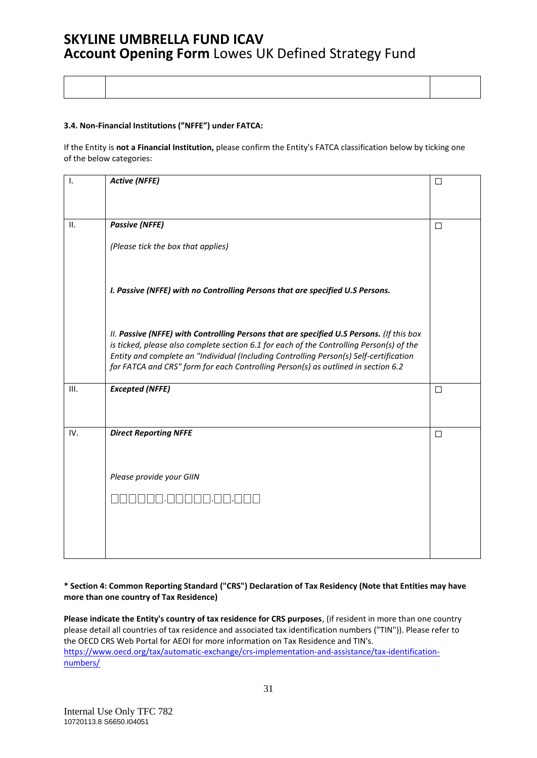#### **3.4. Non-Financial Institutions ("NFFE") under FATCA:**

If the Entity is **not a Financial Institution,** please confirm the Entity's FATCA classification below by ticking one of the below categories:

| Ι.   | <b>Active (NFFE)</b>                                                                                                                                                                                                                                                                                                                                                | $\Box$ |
|------|---------------------------------------------------------------------------------------------------------------------------------------------------------------------------------------------------------------------------------------------------------------------------------------------------------------------------------------------------------------------|--------|
|      |                                                                                                                                                                                                                                                                                                                                                                     |        |
| II.  | <b>Passive (NFFE)</b>                                                                                                                                                                                                                                                                                                                                               | $\Box$ |
|      | (Please tick the box that applies)                                                                                                                                                                                                                                                                                                                                  |        |
|      | I. Passive (NFFE) with no Controlling Persons that are specified U.S Persons.                                                                                                                                                                                                                                                                                       |        |
|      | II. Passive (NFFE) with Controlling Persons that are specified U.S Persons. (If this box<br>is ticked, please also complete section 6.1 for each of the Controlling Person(s) of the<br>Entity and complete an "Individual (Including Controlling Person(s) Self-certification<br>for FATCA and CRS" form for each Controlling Person(s) as outlined in section 6.2 |        |
| III. | <b>Excepted (NFFE)</b>                                                                                                                                                                                                                                                                                                                                              | $\Box$ |
| IV.  | <b>Direct Reporting NFFE</b>                                                                                                                                                                                                                                                                                                                                        | $\Box$ |
|      |                                                                                                                                                                                                                                                                                                                                                                     |        |
|      | Please provide your GIIN                                                                                                                                                                                                                                                                                                                                            |        |
|      |                                                                                                                                                                                                                                                                                                                                                                     |        |
|      |                                                                                                                                                                                                                                                                                                                                                                     |        |
|      |                                                                                                                                                                                                                                                                                                                                                                     |        |

#### **\* Section 4: Common Reporting Standard ("CRS") Declaration of Tax Residency (Note that Entities may have more than one country of Tax Residence)**

**Please indicate the Entity's country of tax residence for CRS purposes**, (if resident in more than one country please detail all countries of tax residence and associated tax identification numbers ("TIN")). Please refer to the OECD CRS Web Portal for AEOI for more information on Tax Residence and TIN's. [https://www.oecd.org/tax/automatic-exchange/crs-implementation-and-assistance/tax-identification](https://www.oecd.org/tax/automatic-exchange/crs-implementation-and-assistance/tax-identification-numbers/)[numbers/](https://www.oecd.org/tax/automatic-exchange/crs-implementation-and-assistance/tax-identification-numbers/)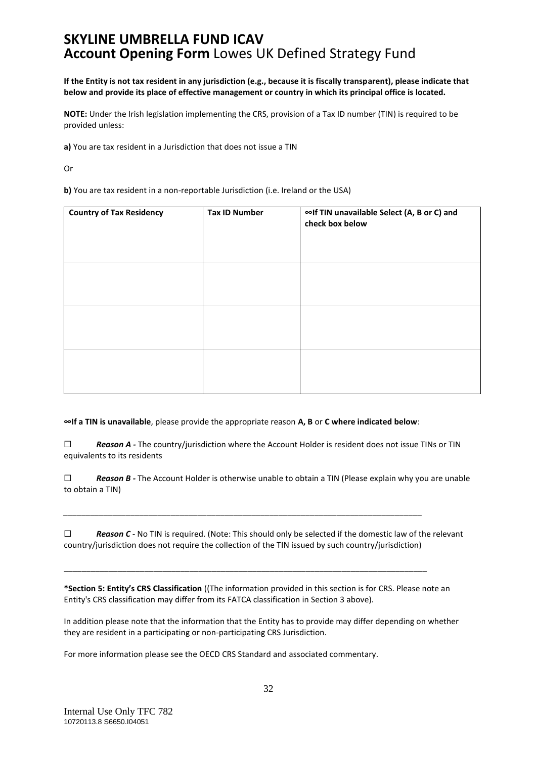**If the Entity is not tax resident in any jurisdiction (e.g., because it is fiscally transparent), please indicate that below and provide its place of effective management or country in which its principal office is located.**

**NOTE:** Under the Irish legislation implementing the CRS, provision of a Tax ID number (TIN) is required to be provided unless:

**a)** You are tax resident in a Jurisdiction that does not issue a TIN

Or

**b)** You are tax resident in a non-reportable Jurisdiction (i.e. Ireland or the USA)

| <b>Country of Tax Residency</b> | <b>Tax ID Number</b> | ∞If TIN unavailable Select (A, B or C) and<br>check box below |
|---------------------------------|----------------------|---------------------------------------------------------------|
|                                 |                      |                                                               |
|                                 |                      |                                                               |
|                                 |                      |                                                               |

**∞If a TIN is unavailable**, please provide the appropriate reason **A, B** or **C where indicated below**:

*\_\_\_\_\_\_\_\_\_\_\_\_\_\_\_\_\_\_\_\_\_\_\_\_\_\_\_\_\_\_\_\_\_\_\_\_\_\_\_\_\_\_\_\_\_\_\_\_\_\_\_\_\_\_\_\_\_\_\_\_\_\_\_\_\_\_\_\_\_\_\_\_\_\_\_\_\_\_\_\_*

\_\_\_\_\_\_\_\_\_\_\_\_\_\_\_\_\_\_\_\_\_\_\_\_\_\_\_\_\_\_\_\_\_\_\_\_\_\_\_\_\_\_\_\_\_\_\_\_\_\_\_\_\_\_\_\_\_\_\_\_\_\_\_\_\_\_\_\_\_\_\_\_\_\_\_\_\_\_\_\_\_

□ **Reason A** - The country/jurisdiction where the Account Holder is resident does not issue TINs or TIN equivalents to its residents

☐ *Reason B -* The Account Holder is otherwise unable to obtain a TIN (Please explain why you are unable to obtain a TIN)

☐ *Reason C -* No TIN is required. (Note: This should only be selected if the domestic law of the relevant country/jurisdiction does not require the collection of the TIN issued by such country/jurisdiction)

**\*Section 5: Entity's CRS Classification** ((The information provided in this section is for CRS. Please note an Entity's CRS classification may differ from its FATCA classification in Section 3 above).

In addition please note that the information that the Entity has to provide may differ depending on whether they are resident in a participating or non-participating CRS Jurisdiction.

For more information please see the OECD CRS Standard and associated commentary.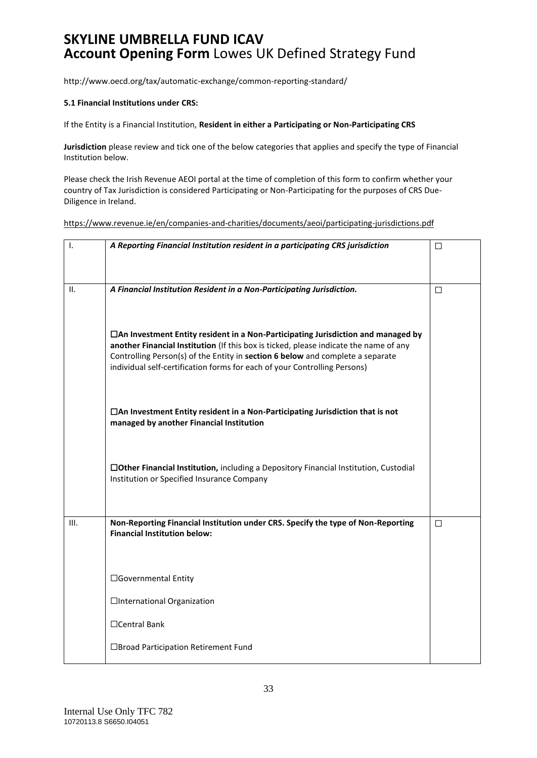http://www.oecd.org/tax/automatic-exchange/common-reporting-standard/

#### **5.1 Financial Institutions under CRS:**

If the Entity is a Financial Institution, **Resident in either a Participating or Non-Participating CRS**

**Jurisdiction** please review and tick one of the below categories that applies and specify the type of Financial Institution below.

Please check the Irish Revenue AEOI portal at the time of completion of this form to confirm whether your country of Tax Jurisdiction is considered Participating or Non-Participating for the purposes of CRS Due-Diligence in Ireland.

https://www.revenue.ie/en/companies-and-charities/documents/aeoi/participating-jurisdictions.pdf

| Ι.   | A Reporting Financial Institution resident in a participating CRS jurisdiction                                                                                                                                                                                                                                                             | □ |
|------|--------------------------------------------------------------------------------------------------------------------------------------------------------------------------------------------------------------------------------------------------------------------------------------------------------------------------------------------|---|
| ΙΙ.  | A Financial Institution Resident in a Non-Participating Jurisdiction.                                                                                                                                                                                                                                                                      | □ |
|      | □ An Investment Entity resident in a Non-Participating Jurisdiction and managed by<br>another Financial Institution (If this box is ticked, please indicate the name of any<br>Controlling Person(s) of the Entity in section 6 below and complete a separate<br>individual self-certification forms for each of your Controlling Persons) |   |
|      | □ An Investment Entity resident in a Non-Participating Jurisdiction that is not<br>managed by another Financial Institution                                                                                                                                                                                                                |   |
|      | □Other Financial Institution, including a Depository Financial Institution, Custodial<br>Institution or Specified Insurance Company                                                                                                                                                                                                        |   |
| III. | Non-Reporting Financial Institution under CRS. Specify the type of Non-Reporting<br><b>Financial Institution below:</b>                                                                                                                                                                                                                    | П |
|      | □Governmental Entity                                                                                                                                                                                                                                                                                                                       |   |
|      | □International Organization                                                                                                                                                                                                                                                                                                                |   |
|      | □Central Bank                                                                                                                                                                                                                                                                                                                              |   |
|      | □Broad Participation Retirement Fund                                                                                                                                                                                                                                                                                                       |   |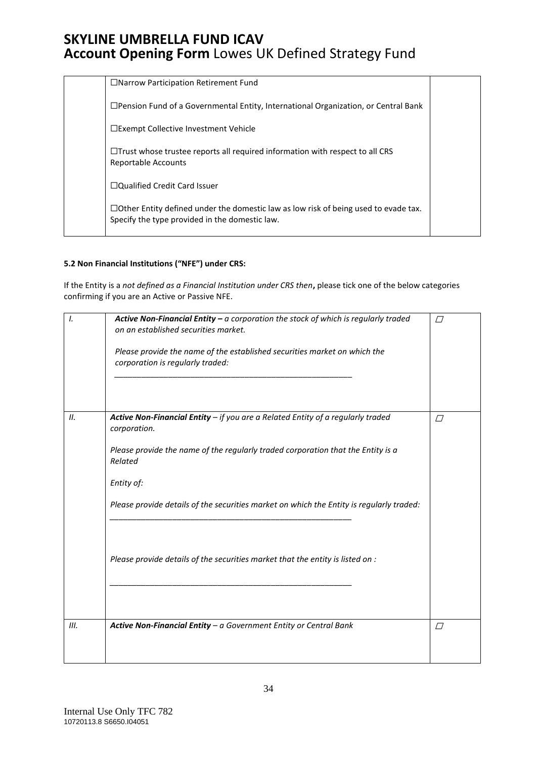|  | $\Box$ Narrow Participation Retirement Fund                                                                                                  |  |
|--|----------------------------------------------------------------------------------------------------------------------------------------------|--|
|  | $\Box$ Pension Fund of a Governmental Entity, International Organization, or Central Bank                                                    |  |
|  | □Exempt Collective Investment Vehicle                                                                                                        |  |
|  | $\Box$ Trust whose trustee reports all required information with respect to all CRS<br><b>Reportable Accounts</b>                            |  |
|  | □Qualified Credit Card Issuer                                                                                                                |  |
|  | $\Box$ Other Entity defined under the domestic law as low risk of being used to evade tax.<br>Specify the type provided in the domestic law. |  |

### **5.2 Non Financial Institutions ("NFE") under CRS:**

If the Entity is a *not defined as a Financial Institution under CRS then***,** please tick one of the below categories confirming if you are an Active or Passive NFE.

| $\mathcal{L}$ | Active Non-Financial Entity $-$ a corporation the stock of which is regularly traded<br>on an established securities market.<br>Please provide the name of the established securities market on which the<br>corporation is regularly traded:                                                                                                                                              | $\sqrt{}$   |
|---------------|--------------------------------------------------------------------------------------------------------------------------------------------------------------------------------------------------------------------------------------------------------------------------------------------------------------------------------------------------------------------------------------------|-------------|
| 11.           | Active Non-Financial Entity - if you are a Related Entity of a regularly traded<br>corporation.<br>Please provide the name of the regularly traded corporation that the Entity is a<br>Related<br>Entity of:<br>Please provide details of the securities market on which the Entity is regularly traded:<br>Please provide details of the securities market that the entity is listed on : | $\Box$      |
| III.          | Active Non-Financial Entity - a Government Entity or Central Bank                                                                                                                                                                                                                                                                                                                          | $\varGamma$ |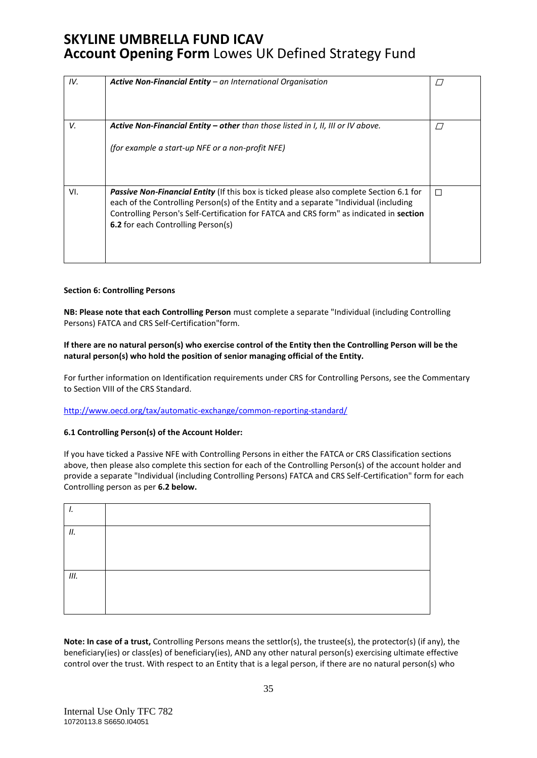| IV. | Active Non-Financial Entity - an International Organisation                                                                                                                                                                                                                                                                      |        |
|-----|----------------------------------------------------------------------------------------------------------------------------------------------------------------------------------------------------------------------------------------------------------------------------------------------------------------------------------|--------|
| V.  | <b>Active Non-Financial Entity – other</b> than those listed in I, II, III or IV above.                                                                                                                                                                                                                                          | $\Box$ |
|     | (for example a start-up NFE or a non-profit NFE)                                                                                                                                                                                                                                                                                 |        |
| VI. | <b>Passive Non-Financial Entity</b> (If this box is ticked please also complete Section 6.1 for<br>each of the Controlling Person(s) of the Entity and a separate "Individual (including<br>Controlling Person's Self-Certification for FATCA and CRS form" as indicated in section<br><b>6.2</b> for each Controlling Person(s) | П      |

#### **Section 6: Controlling Persons**

**NB: Please note that each Controlling Person** must complete a separate "Individual (including Controlling Persons) FATCA and CRS Self-Certification"form.

#### **If there are no natural person(s) who exercise control of the Entity then the Controlling Person will be the natural person(s) who hold the position of senior managing official of the Entity.**

For further information on Identification requirements under CRS for Controlling Persons, see the Commentary to Section VIII of the CRS Standard.

#### <http://www.oecd.org/tax/automatic-exchange/common-reporting-standard/>

### **6.1 Controlling Person(s) of the Account Holder:**

If you have ticked a Passive NFE with Controlling Persons in either the FATCA or CRS Classification sections above, then please also complete this section for each of the Controlling Person(s) of the account holder and provide a separate "Individual (including Controlling Persons) FATCA and CRS Self-Certification" form for each Controlling person as per **6.2 below.**

| .,  |  |
|-----|--|
| 11. |  |
|     |  |
| Ш.  |  |
|     |  |

**Note: In case of a trust,** Controlling Persons means the settlor(s), the trustee(s), the protector(s) (if any), the beneficiary(ies) or class(es) of beneficiary(ies), AND any other natural person(s) exercising ultimate effective control over the trust. With respect to an Entity that is a legal person, if there are no natural person(s) who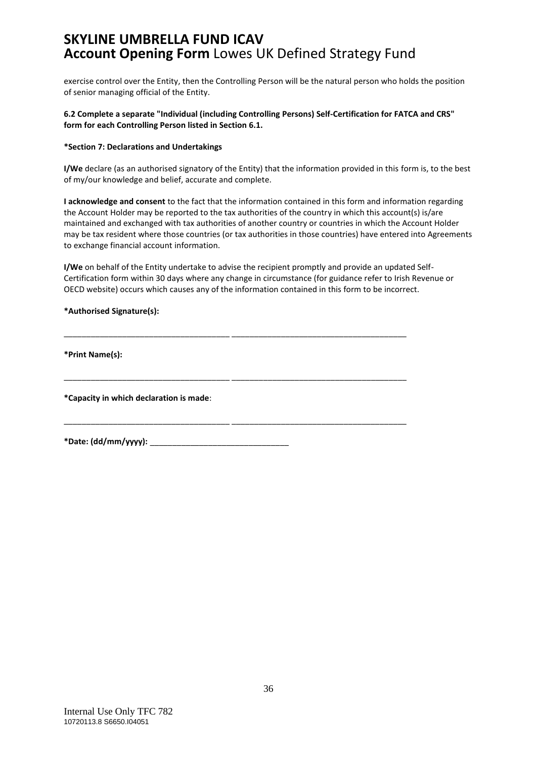exercise control over the Entity, then the Controlling Person will be the natural person who holds the position of senior managing official of the Entity.

### **6.2 Complete a separate "Individual (including Controlling Persons) Self-Certification for FATCA and CRS" form for each Controlling Person listed in Section 6.1.**

#### **\*Section 7: Declarations and Undertakings**

**I/We** declare (as an authorised signatory of the Entity) that the information provided in this form is, to the best of my/our knowledge and belief, accurate and complete.

**I acknowledge and consent** to the fact that the information contained in this form and information regarding the Account Holder may be reported to the tax authorities of the country in which this account(s) is/are maintained and exchanged with tax authorities of another country or countries in which the Account Holder may be tax resident where those countries (or tax authorities in those countries) have entered into Agreements to exchange financial account information.

**I/We** on behalf of the Entity undertake to advise the recipient promptly and provide an updated Self-Certification form within 30 days where any change in circumstance (for guidance refer to Irish Revenue or OECD website) occurs which causes any of the information contained in this form to be incorrect.

\_\_\_\_\_\_\_\_\_\_\_\_\_\_\_\_\_\_\_\_\_\_\_\_\_\_\_\_\_\_\_\_\_\_\_\_\_ \_\_\_\_\_\_\_\_\_\_\_\_\_\_\_\_\_\_\_\_\_\_\_\_\_\_\_\_\_\_\_\_\_\_\_\_\_\_\_

\_\_\_\_\_\_\_\_\_\_\_\_\_\_\_\_\_\_\_\_\_\_\_\_\_\_\_\_\_\_\_\_\_\_\_\_\_ \_\_\_\_\_\_\_\_\_\_\_\_\_\_\_\_\_\_\_\_\_\_\_\_\_\_\_\_\_\_\_\_\_\_\_\_\_\_\_

\_\_\_\_\_\_\_\_\_\_\_\_\_\_\_\_\_\_\_\_\_\_\_\_\_\_\_\_\_\_\_\_\_\_\_\_\_ \_\_\_\_\_\_\_\_\_\_\_\_\_\_\_\_\_\_\_\_\_\_\_\_\_\_\_\_\_\_\_\_\_\_\_\_\_\_\_

#### **\*Authorised Signature(s):**

**\*Print Name(s):** 

**\*Capacity in which declaration is made**:

**\*Date: (dd/mm/yyyy):** \_\_\_\_\_\_\_\_\_\_\_\_\_\_\_\_\_\_\_\_\_\_\_\_\_\_\_\_\_\_\_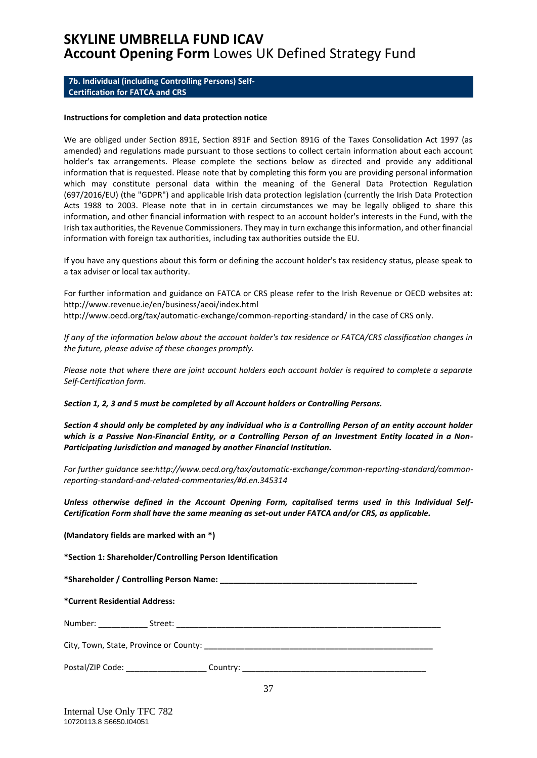#### <span id="page-36-0"></span>**7b. Individual (including Controlling Persons) Self-Certification for FATCA and CRS**

#### **Instructions for completion and data protection notice**

We are obliged under Section 891E, Section 891F and Section 891G of the Taxes Consolidation Act 1997 (as amended) and regulations made pursuant to those sections to collect certain information about each account holder's tax arrangements. Please complete the sections below as directed and provide any additional information that is requested. Please note that by completing this form you are providing personal information which may constitute personal data within the meaning of the General Data Protection Regulation (697/2016/EU) (the "GDPR") and applicable Irish data protection legislation (currently the Irish Data Protection Acts 1988 to 2003. Please note that in in certain circumstances we may be legally obliged to share this information, and other financial information with respect to an account holder's interests in the Fund, with the Irish tax authorities, the Revenue Commissioners. They may in turn exchange this information, and other financial information with foreign tax authorities, including tax authorities outside the EU.

If you have any questions about this form or defining the account holder's tax residency status, please speak to a tax adviser or local tax authority.

For further information and guidance on FATCA or CRS please refer to the Irish Revenue or OECD websites at: http://www.revenue.ie/en/business/aeoi/index.html http://www.oecd.org/tax/automatic-exchange/common-reporting-standard/ in the case of CRS only.

*If any of the information below about the account holder's tax residence or FATCA/CRS classification changes in the future, please advise of these changes promptly.*

*Please note that where there are joint account holders each account holder is required to complete a separate Self-Certification form.* 

*Section 1, 2, 3 and 5 must be completed by all Account holders or Controlling Persons.*

*Section 4 should only be completed by any individual who is a Controlling Person of an entity account holder which is a Passive Non-Financial Entity, or a Controlling Person of an Investment Entity located in a Non-Participating Jurisdiction and managed by another Financial Institution.* 

*For further guidance see:http://www.oecd.org/tax/automatic-exchange/common-reporting-standard/commonreporting-standard-and-related-commentaries/#d.en.345314* 

*Unless otherwise defined in the Account Opening Form, capitalised terms used in this Individual Self-Certification Form shall have the same meaning as set-out under FATCA and/or CRS, as applicable.*

**(Mandatory fields are marked with an \*)** 

**\*Section 1: Shareholder/Controlling Person Identification** 

**\*Shareholder / Controlling Person Name: \_\_\_\_\_\_\_\_\_\_\_\_\_\_\_\_\_\_\_\_\_\_\_\_\_\_\_\_\_\_\_\_\_\_\_\_\_\_\_\_\_\_\_\_**

**\*Current Residential Address:** 

Number: \_\_\_\_\_\_\_\_\_\_\_ Street: \_\_\_\_\_\_\_\_\_\_\_\_\_\_\_\_\_\_\_\_\_\_\_\_\_\_\_\_\_\_\_\_\_\_\_\_\_\_\_\_\_\_\_\_\_\_\_\_\_\_\_\_\_\_\_\_\_\_\_

City, Town, State, Province or County: **\_\_\_\_\_\_\_\_\_\_\_\_\_\_\_\_\_\_\_\_\_\_\_\_\_\_\_\_\_\_\_\_\_\_\_\_\_\_\_\_\_\_\_\_\_\_\_\_\_\_\_** 

| Postal/ZIP Code: | country |  |
|------------------|---------|--|
|------------------|---------|--|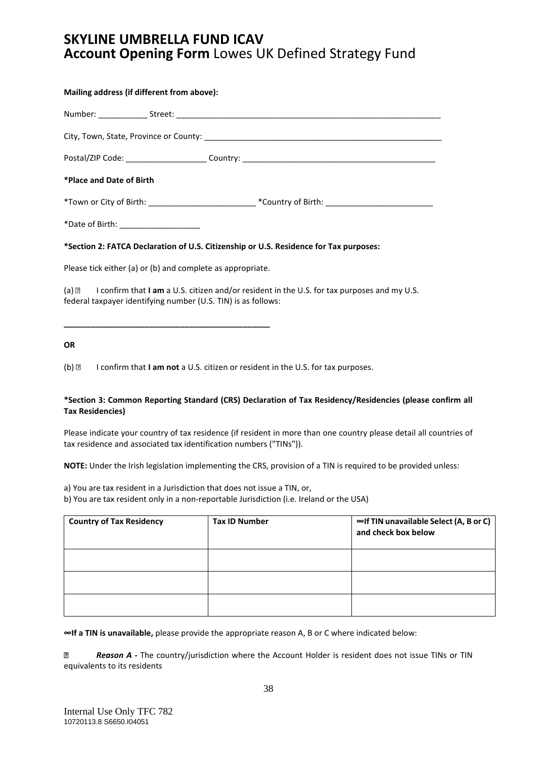| Mailing address (if different from above):                                                                                                                                    |  |  |  |
|-------------------------------------------------------------------------------------------------------------------------------------------------------------------------------|--|--|--|
|                                                                                                                                                                               |  |  |  |
|                                                                                                                                                                               |  |  |  |
|                                                                                                                                                                               |  |  |  |
| *Place and Date of Birth                                                                                                                                                      |  |  |  |
| *Town or City of Birth: ________________________________*Country of Birth: ___________________________________                                                                |  |  |  |
| *Date of Birth: ___________________                                                                                                                                           |  |  |  |
| *Section 2: FATCA Declaration of U.S. Citizenship or U.S. Residence for Tax purposes:                                                                                         |  |  |  |
| Please tick either (a) or (b) and complete as appropriate.                                                                                                                    |  |  |  |
| (a) $\mathbb{Z}$ I confirm that I am a U.S. citizen and/or resident in the U.S. for tax purposes and my U.S.<br>federal taxpayer identifying number (U.S. TIN) is as follows: |  |  |  |
|                                                                                                                                                                               |  |  |  |

#### **OR**

(b) **I** confirm that **I am not** a U.S. citizen or resident in the U.S. for tax purposes.

#### **\*Section 3: Common Reporting Standard (CRS) Declaration of Tax Residency/Residencies (please confirm all Tax Residencies)**

Please indicate your country of tax residence (if resident in more than one country please detail all countries of tax residence and associated tax identification numbers ("TINs")).

**NOTE:** Under the Irish legislation implementing the CRS, provision of a TIN is required to be provided unless:

a) You are tax resident in a Jurisdiction that does not issue a TIN, or,

b) You are tax resident only in a non-reportable Jurisdiction (i.e. Ireland or the USA)

| <b>Country of Tax Residency</b> | <b>Tax ID Number</b> | ∞If TIN unavailable Select (A, B or C)<br>and check box below |
|---------------------------------|----------------------|---------------------------------------------------------------|
|                                 |                      |                                                               |
|                                 |                      |                                                               |
|                                 |                      |                                                               |

**∞If a TIN is unavailable,** please provide the appropriate reason A, B or C where indicated below:

*Reason A -* The country/jurisdiction where the Account Holder is resident does not issue TINs or TIN  $\overline{2}$ equivalents to its residents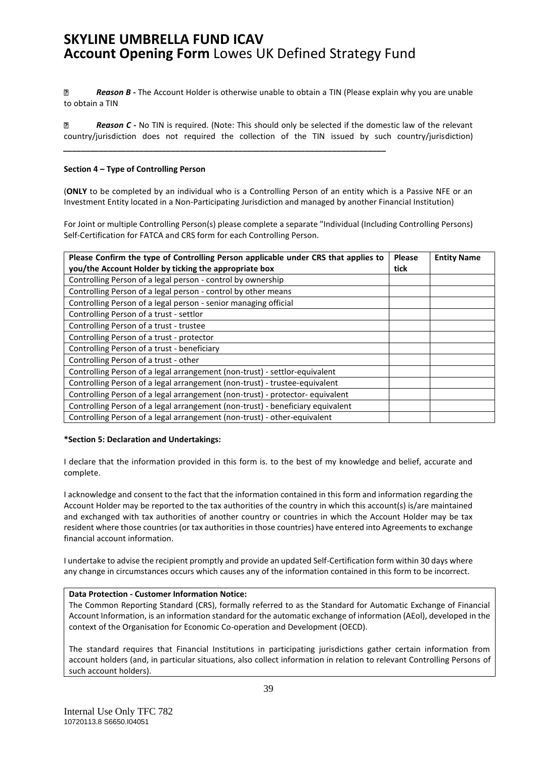*\_\_\_\_\_\_\_\_\_\_\_\_\_\_\_\_\_\_\_\_\_\_\_\_\_\_\_\_\_\_\_\_\_\_\_\_\_\_\_\_\_\_\_\_\_\_\_\_\_\_\_\_\_\_\_\_\_\_\_\_\_\_\_\_\_\_\_\_\_\_\_\_*

 $\overline{R}$ *Reason B -* The Account Holder is otherwise unable to obtain a TIN (Please explain why you are unable to obtain a TIN

*Reason C -* No TIN is required. (Note: This should only be selected if the domestic law of the relevant P. country/jurisdiction does not required the collection of the TIN issued by such country/jurisdiction)

#### **Section 4 – Type of Controlling Person**

(**ONLY** to be completed by an individual who is a Controlling Person of an entity which is a Passive NFE or an Investment Entity located in a Non-Participating Jurisdiction and managed by another FinanciaI Institution)

For Joint or multiple Controlling Person(s) please complete a separate "Individual (Including Controlling Persons) Self-Certification for FATCA and CRS form for each Controlling Person.

| Please Confirm the type of Controlling Person applicable under CRS that applies to<br>you/the Account Holder by ticking the appropriate box | <b>Please</b><br>tick | <b>Entity Name</b> |
|---------------------------------------------------------------------------------------------------------------------------------------------|-----------------------|--------------------|
| Controlling Person of a legal person - control by ownership                                                                                 |                       |                    |
| Controlling Person of a legal person - control by other means                                                                               |                       |                    |
| Controlling Person of a legal person - senior managing official                                                                             |                       |                    |
| Controlling Person of a trust - settlor                                                                                                     |                       |                    |
| Controlling Person of a trust - trustee                                                                                                     |                       |                    |
| Controlling Person of a trust - protector                                                                                                   |                       |                    |
| Controlling Person of a trust - beneficiary                                                                                                 |                       |                    |
| Controlling Person of a trust - other                                                                                                       |                       |                    |
| Controlling Person of a legal arrangement (non-trust) - settlor-equivalent                                                                  |                       |                    |
| Controlling Person of a legal arrangement (non-trust) - trustee-equivalent                                                                  |                       |                    |
| Controlling Person of a legal arrangement (non-trust) - protector- equivalent                                                               |                       |                    |
| Controlling Person of a legal arrangement (non-trust) - beneficiary equivalent                                                              |                       |                    |
| Controlling Person of a legal arrangement (non-trust) - other-equivalent                                                                    |                       |                    |

#### **\*Section 5: Declaration and Undertakings:**

I declare that the information provided in this form is. to the best of my knowledge and belief, accurate and complete.

I acknowledge and consent to the fact that the information contained in this form and information regarding the Account Holder may be reported to the tax authorities of the country in which this account(s) is/are maintained and exchanged with tax authorities of another country or countries in which the Account Holder may be tax resident where those countries (or tax authorities in those countries) have entered into Agreements to exchange financial account information.

I undertake to advise the recipient promptly and provide an updated Self-Certification form within 30 days where any change in circumstances occurs which causes any of the information contained in this form to be incorrect.

#### **Data Protection - Customer Information Notice:**

The Common Reporting Standard (CRS), formally referred to as the Standard for Automatic Exchange of Financial Account Information, is an information standard for the automatic exchange of information (AEol), developed in the context of the Organisation for Economic Co-operation and Development (OECD).

The standard requires that Financial Institutions in participating jurisdictions gather certain information from account holders (and, in particular situations, also collect information in relation to relevant Controlling Persons of such account holders).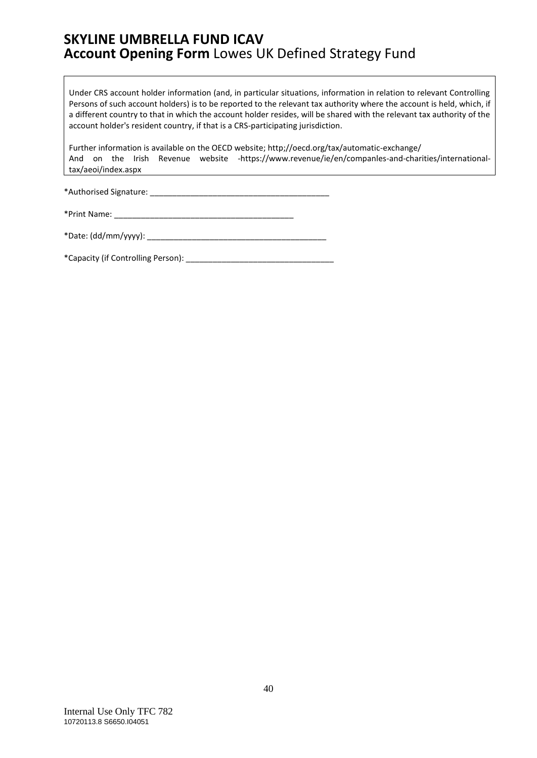Under CRS account holder information (and, in particular situations, information in relation to relevant Controlling Persons of such account holders) is to be reported to the relevant tax authority where the account is held, which, if a different country to that in which the account holder resides, will be shared with the relevant tax authority of the account holder's resident country, if that is a CRS-participating jurisdiction.

Further information is available on the OECD website; http;//oecd.org/tax/automatic-exchange/ And on the Irish Revenue website -https://www.revenue/ie/en/companles-and-charities/internationaltax/aeoi/index.aspx

\*Authorised Signature: \_\_\_\_\_\_\_\_\_\_\_\_\_\_\_\_\_\_\_\_\_\_\_\_\_\_\_\_\_\_\_\_\_\_\_\_\_\_\_\_

| *Print Name: |  |
|--------------|--|
|--------------|--|

\*Date: (dd/mm/yyyy): \_\_\_\_\_\_\_\_\_\_\_\_\_\_\_\_\_\_\_\_\_\_\_\_\_\_\_\_\_\_\_\_\_\_\_\_\_\_\_\_

\*Capacity (if Controlling Person): \_\_\_\_\_\_\_\_\_\_\_\_\_\_\_\_\_\_\_\_\_\_\_\_\_\_\_\_\_\_\_\_\_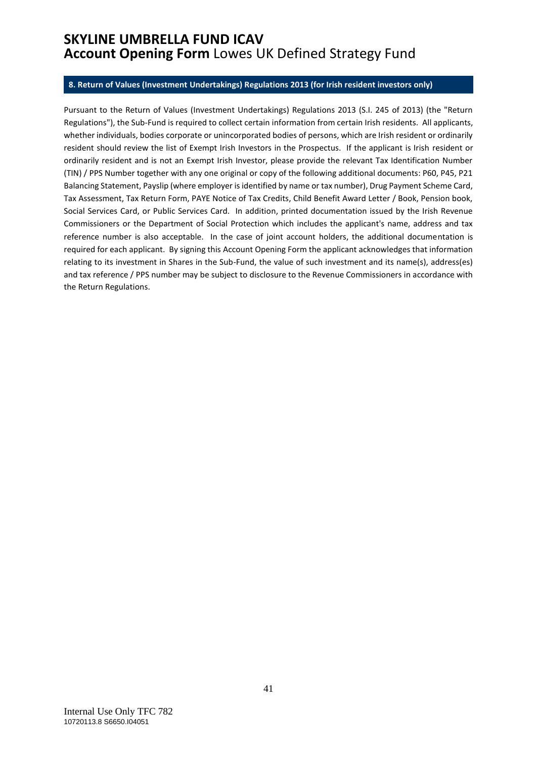#### <span id="page-40-0"></span>**8. Return of Values (Investment Undertakings) Regulations 2013 (for Irish resident investors only)**

Pursuant to the Return of Values (Investment Undertakings) Regulations 2013 (S.I. 245 of 2013) (the "Return Regulations"), the Sub-Fund is required to collect certain information from certain Irish residents. All applicants, whether individuals, bodies corporate or unincorporated bodies of persons, which are Irish resident or ordinarily resident should review the list of Exempt Irish Investors in the Prospectus. If the applicant is Irish resident or ordinarily resident and is not an Exempt Irish Investor, please provide the relevant Tax Identification Number (TIN) / PPS Number together with any one original or copy of the following additional documents: P60, P45, P21 Balancing Statement, Payslip (where employer is identified by name or tax number), Drug Payment Scheme Card, Tax Assessment, Tax Return Form, PAYE Notice of Tax Credits, Child Benefit Award Letter / Book, Pension book, Social Services Card, or Public Services Card. In addition, printed documentation issued by the Irish Revenue Commissioners or the Department of Social Protection which includes the applicant's name, address and tax reference number is also acceptable. In the case of joint account holders, the additional documentation is required for each applicant. By signing this Account Opening Form the applicant acknowledges that information relating to its investment in Shares in the Sub-Fund, the value of such investment and its name(s), address(es) and tax reference / PPS number may be subject to disclosure to the Revenue Commissioners in accordance with the Return Regulations.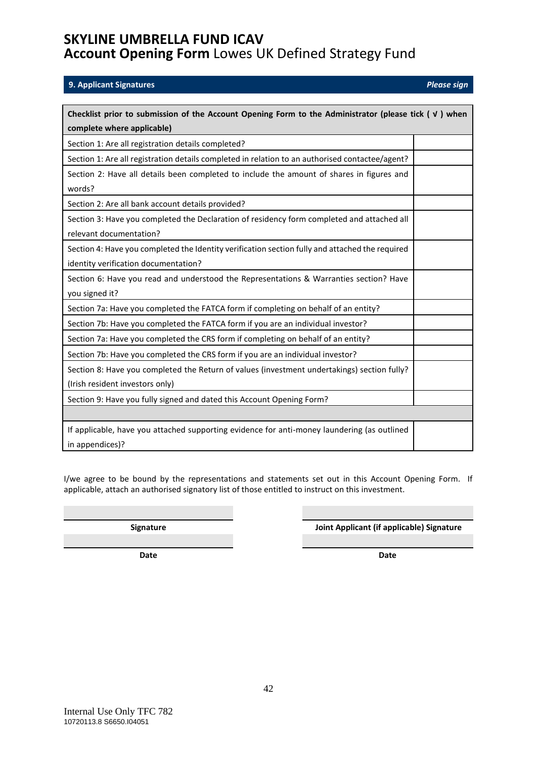### <span id="page-41-0"></span>**9. Applicant Signatures** *Please sign*

| Checklist prior to submission of the Account Opening Form to the Administrator (please tick $( \vee )$ when |  |  |  |
|-------------------------------------------------------------------------------------------------------------|--|--|--|
| complete where applicable)                                                                                  |  |  |  |
| Section 1: Are all registration details completed?                                                          |  |  |  |
| Section 1: Are all registration details completed in relation to an authorised contactee/agent?             |  |  |  |
| Section 2: Have all details been completed to include the amount of shares in figures and                   |  |  |  |
| words?                                                                                                      |  |  |  |
| Section 2: Are all bank account details provided?                                                           |  |  |  |
| Section 3: Have you completed the Declaration of residency form completed and attached all                  |  |  |  |
| relevant documentation?                                                                                     |  |  |  |
| Section 4: Have you completed the Identity verification section fully and attached the required             |  |  |  |
| identity verification documentation?                                                                        |  |  |  |
| Section 6: Have you read and understood the Representations & Warranties section? Have                      |  |  |  |
| you signed it?                                                                                              |  |  |  |
| Section 7a: Have you completed the FATCA form if completing on behalf of an entity?                         |  |  |  |
| Section 7b: Have you completed the FATCA form if you are an individual investor?                            |  |  |  |
| Section 7a: Have you completed the CRS form if completing on behalf of an entity?                           |  |  |  |
| Section 7b: Have you completed the CRS form if you are an individual investor?                              |  |  |  |
| Section 8: Have you completed the Return of values (investment undertakings) section fully?                 |  |  |  |
| (Irish resident investors only)                                                                             |  |  |  |
| Section 9: Have you fully signed and dated this Account Opening Form?                                       |  |  |  |
|                                                                                                             |  |  |  |
| If applicable, have you attached supporting evidence for anti-money laundering (as outlined                 |  |  |  |
| in appendices)?                                                                                             |  |  |  |

I/we agree to be bound by the representations and statements set out in this Account Opening Form. If applicable, attach an authorised signatory list of those entitled to instruct on this investment.

**Signature Joint Applicant (if applicable) Signature**

<span id="page-41-1"></span>**Date Date**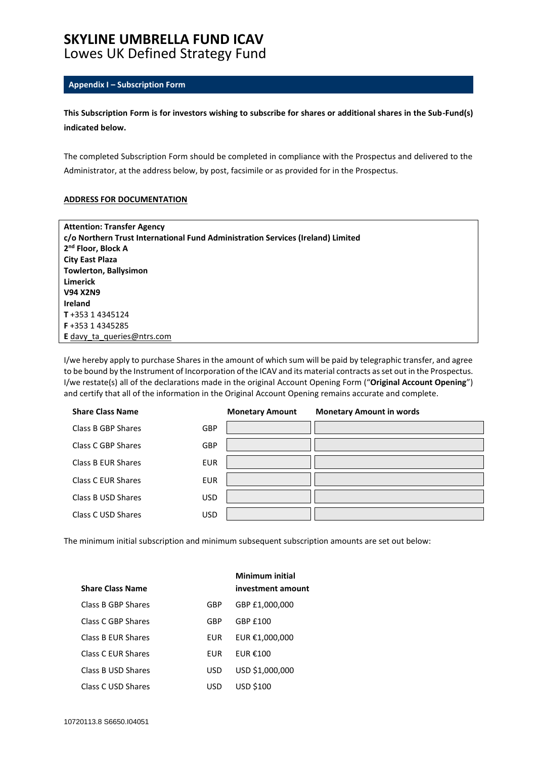# **SKYLINE UMBRELLA FUND ICAV**

## Lowes UK Defined Strategy Fund

### **Appendix I – Subscription Form**

**This Subscription Form is for investors wishing to subscribe for shares or additional shares in the Sub-Fund(s) indicated below.**

The completed Subscription Form should be completed in compliance with the Prospectus and delivered to the Administrator, at the address below, by post, facsimile or as provided for in the Prospectus.

#### **ADDRESS FOR DOCUMENTATION**

| <b>Attention: Transfer Agency</b>                                               |
|---------------------------------------------------------------------------------|
| c/o Northern Trust International Fund Administration Services (Ireland) Limited |
| 2 <sup>nd</sup> Floor, Block A                                                  |
| <b>City East Plaza</b>                                                          |
| <b>Towlerton, Ballysimon</b>                                                    |
| <b>Limerick</b>                                                                 |
| <b>V94 X2N9</b>                                                                 |
| <b>Ireland</b>                                                                  |
| T+353 14345124                                                                  |
| F+353 14345285                                                                  |
| <b>E</b> davy ta queries @ ntrs.com                                             |

I/we hereby apply to purchase Shares in the amount of which sum will be paid by telegraphic transfer, and agree to be bound by the Instrument of Incorporation of the ICAV and its material contracts as set out in the Prospectus. I/we restate(s) all of the declarations made in the original Account Opening Form ("**Original Account Opening**") and certify that all of the information in the Original Account Opening remains accurate and complete.

| <b>Share Class Name</b> |            | <b>Monetary Amount</b> | <b>Monetary Amount in words</b> |
|-------------------------|------------|------------------------|---------------------------------|
| Class B GBP Shares      | <b>GBP</b> |                        |                                 |
| Class C GBP Shares      | <b>GBP</b> |                        |                                 |
| Class B EUR Shares      | <b>EUR</b> |                        |                                 |
| Class C EUR Shares      | <b>EUR</b> |                        |                                 |
| Class B USD Shares      | <b>USD</b> |                        |                                 |
| Class C USD Shares      | <b>USD</b> |                        |                                 |

The minimum initial subscription and minimum subsequent subscription amounts are set out below:

|                         |     | Minimum initial   |
|-------------------------|-----|-------------------|
| <b>Share Class Name</b> |     | investment amount |
| Class B GBP Shares      | GBP | GBP £1,000,000    |
| Class C GBP Shares      | GBP | GBP £100          |
| Class B FUR Shares      | EUR | EUR €1,000,000    |
| Class C FUR Shares      | FUR | FUR $€100$        |
| Class B USD Shares      | USD | USD \$1,000,000   |
| Class C USD Shares      | USD | <b>USD \$100</b>  |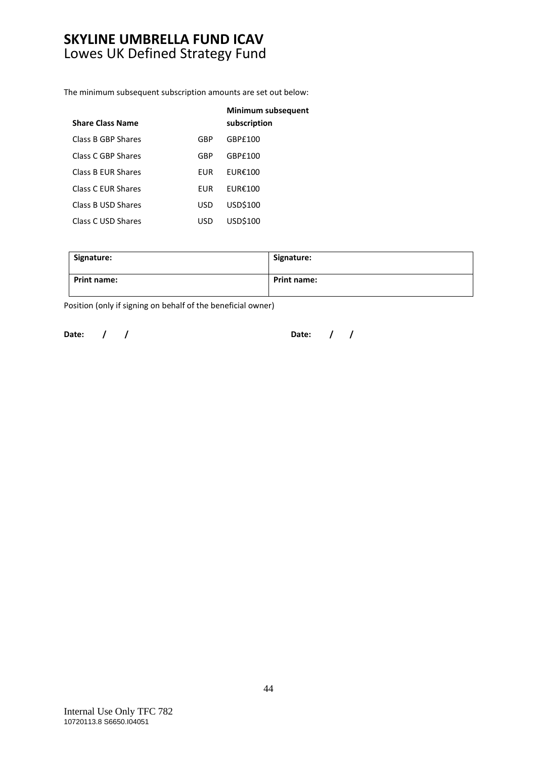## **SKYLINE UMBRELLA FUND ICAV**  Lowes UK Defined Strategy Fund

The minimum subsequent subscription amounts are set out below:

| <b>Share Class Name</b> |     | Minimum subsequent<br>subscription |
|-------------------------|-----|------------------------------------|
| Class B GBP Shares      | GBP | GBPf100                            |
| Class C GBP Shares      | GBP | GBP£100                            |
| Class B FUR Shares      | FUR | FURE100                            |
| Class C FUR Shares      | FUR | FURE100                            |
| Class B USD Shares      | USD | USD\$100                           |
| Class C USD Shares      | USD | USD\$100                           |

| Signature:         | Signature:         |
|--------------------|--------------------|
| <b>Print name:</b> | <b>Print name:</b> |

Position (only if signing on behalf of the beneficial owner)

**Date: / / Date: / /**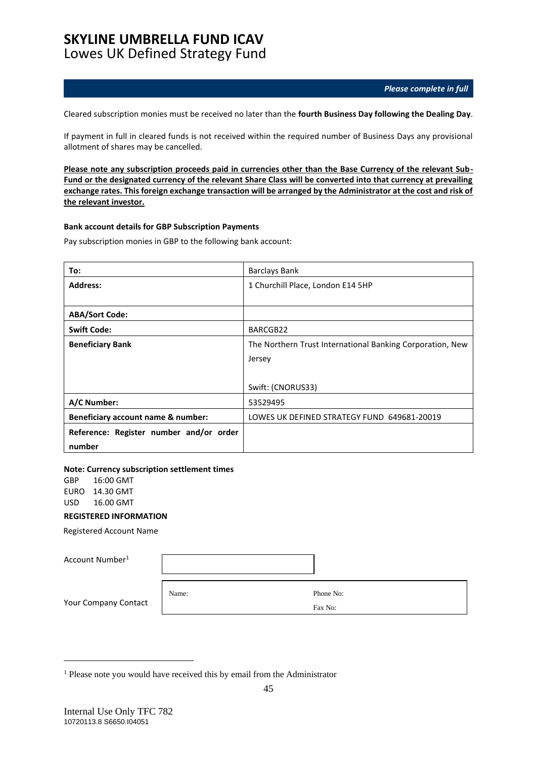### **SKYLINE UMBRELLA FUND ICAV**  Lowes UK Defined Strategy Fund

*Please complete in full*

Cleared subscription monies must be received no later than the **fourth Business Day following the Dealing Day**.

If payment in full in cleared funds is not received within the required number of Business Days any provisional allotment of shares may be cancelled.

**Please note any subscription proceeds paid in currencies other than the Base Currency of the relevant Sub-Fund or the designated currency of the relevant Share Class will be converted into that currency at prevailing exchange rates. This foreign exchange transaction will be arranged by the Administrator at the cost and risk of the relevant investor.**

#### **Bank account details for GBP Subscription Payments**

Pay subscription monies in GBP to the following bank account:

| To:                                     | <b>Barclays Bank</b>                                      |
|-----------------------------------------|-----------------------------------------------------------|
| <b>Address:</b>                         | 1 Churchill Place, London E14 5HP                         |
|                                         |                                                           |
| <b>ABA/Sort Code:</b>                   |                                                           |
| <b>Swift Code:</b>                      | BARCGB22                                                  |
| <b>Beneficiary Bank</b>                 | The Northern Trust International Banking Corporation, New |
|                                         | Jersey                                                    |
|                                         |                                                           |
|                                         | Swift: (CNORUS33)                                         |
| A/C Number:                             | 53529495                                                  |
| Beneficiary account name & number:      | LOWES UK DEFINED STRATEGY FUND 649681-20019               |
| Reference: Register number and/or order |                                                           |
| number                                  |                                                           |

#### **Note: Currency subscription settlement times**

GBP 16:00 GMT EURO 14.30 GMT USD 16.00 GMT

### **REGISTERED INFORMATION**

Registered Account Name

| Account Number <sup>1</sup> |       |           |
|-----------------------------|-------|-----------|
| Your Company Contact        | Name: | Phone No: |
|                             |       | Fax No:   |

<sup>&</sup>lt;sup>1</sup> Please note you would have received this by email from the Administrator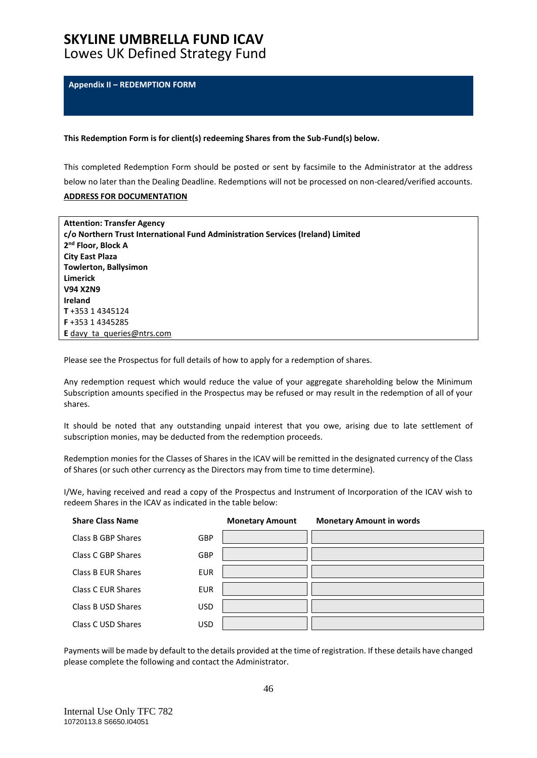# **SKYLINE UMBRELLA FUND ICAV**

Lowes UK Defined Strategy Fund

<span id="page-45-0"></span>**Appendix II – REDEMPTION FORM**

#### **This Redemption Form is for client(s) redeeming Shares from the Sub-Fund(s) below.**

This completed Redemption Form should be posted or sent by facsimile to the Administrator at the address below no later than the Dealing Deadline. Redemptions will not be processed on non-cleared/verified accounts.

### **ADDRESS FOR DOCUMENTATION**

| <b>Attention: Transfer Agency</b>                                               |
|---------------------------------------------------------------------------------|
| c/o Northern Trust International Fund Administration Services (Ireland) Limited |
| 2 <sup>nd</sup> Floor, Block A                                                  |
| City East Plaza                                                                 |
| <b>Towlerton, Ballysimon</b>                                                    |
| Limerick                                                                        |
| <b>V94 X2N9</b>                                                                 |
| <b>Ireland</b>                                                                  |
| T+353 14345124                                                                  |
| F+353 14345285                                                                  |
| <b>E</b> davy ta queries @ ntrs.com                                             |

Please see the Prospectus for full details of how to apply for a redemption of shares.

Any redemption request which would reduce the value of your aggregate shareholding below the Minimum Subscription amounts specified in the Prospectus may be refused or may result in the redemption of all of your shares.

It should be noted that any outstanding unpaid interest that you owe, arising due to late settlement of subscription monies, may be deducted from the redemption proceeds.

Redemption monies for the Classes of Shares in the ICAV will be remitted in the designated currency of the Class of Shares (or such other currency as the Directors may from time to time determine).

I/We, having received and read a copy of the Prospectus and Instrument of Incorporation of the ICAV wish to redeem Shares in the ICAV as indicated in the table below:

| <b>Share Class Name</b> |            | <b>Monetary Amount</b> | <b>Monetary Amount in words</b> |
|-------------------------|------------|------------------------|---------------------------------|
| Class B GBP Shares      | <b>GBP</b> |                        |                                 |
| Class C GBP Shares      | <b>GBP</b> |                        |                                 |
| Class B EUR Shares      | <b>EUR</b> |                        |                                 |
| Class C EUR Shares      | <b>EUR</b> |                        |                                 |
| Class B USD Shares      | <b>USD</b> |                        |                                 |
| Class C USD Shares      | <b>USD</b> |                        |                                 |

Payments will be made by default to the details provided at the time of registration. If these details have changed please complete the following and contact the Administrator.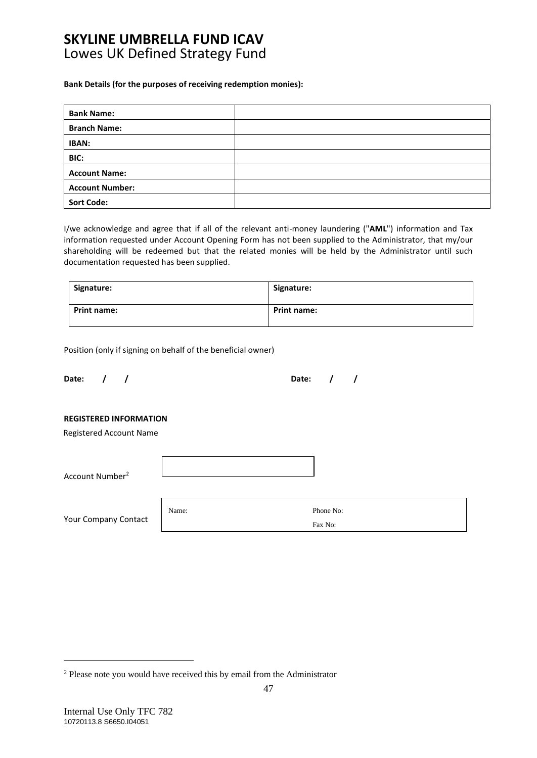### **SKYLINE UMBRELLA FUND ICAV**  Lowes UK Defined Strategy Fund

#### **Bank Details (for the purposes of receiving redemption monies):**

| <b>Bank Name:</b>      |  |
|------------------------|--|
| <b>Branch Name:</b>    |  |
| <b>IBAN:</b>           |  |
| BIC:                   |  |
| <b>Account Name:</b>   |  |
| <b>Account Number:</b> |  |
| <b>Sort Code:</b>      |  |

I/we acknowledge and agree that if all of the relevant anti-money laundering ("**AML**") information and Tax information requested under Account Opening Form has not been supplied to the Administrator, that my/our shareholding will be redeemed but that the related monies will be held by the Administrator until such documentation requested has been supplied.

| Signature:         | Signature:         |
|--------------------|--------------------|
| <b>Print name:</b> | <b>Print name:</b> |

Position (only if signing on behalf of the beneficial owner)

| Date: / |  | Date: $/$ / |  |  |
|---------|--|-------------|--|--|
|         |  |             |  |  |

### **REGISTERED INFORMATION**

Registered Account Name

Account Number<sup>2</sup>

Your Company Contact Name: Phone No: Fax No:

<sup>&</sup>lt;sup>2</sup> Please note you would have received this by email from the Administrator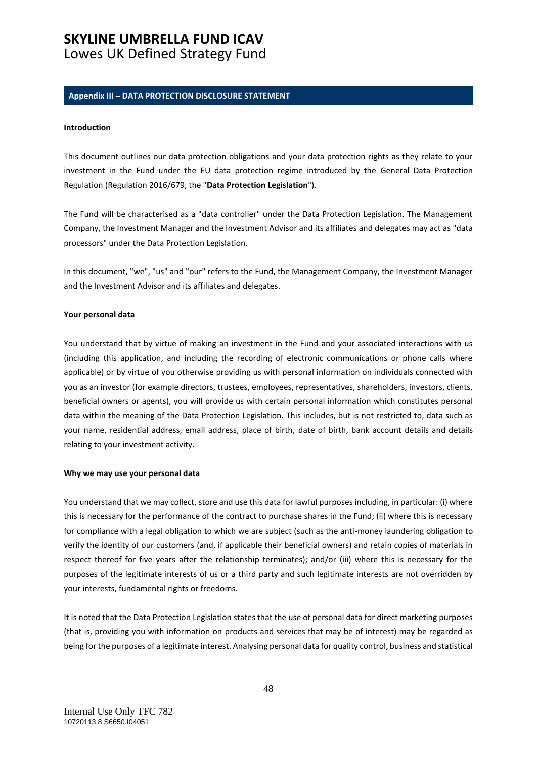# **SKYLINE UMBRELLA FUND ICAV**

## Lowes UK Defined Strategy Fund

#### <span id="page-47-0"></span>**Appendix III – DATA PROTECTION DISCLOSURE STATEMENT**

#### **Introduction**

This document outlines our data protection obligations and your data protection rights as they relate to your investment in the Fund under the EU data protection regime introduced by the General Data Protection Regulation (Regulation 2016/679, the "**Data Protection Legislation**").

The Fund will be characterised as a "data controller" under the Data Protection Legislation. The Management Company, the Investment Manager and the Investment Advisor and its affiliates and delegates may act as "data processors" under the Data Protection Legislation.

In this document, "we", "us" and "our" refers to the Fund, the Management Company, the Investment Manager and the Investment Advisor and its affiliates and delegates.

#### **Your personal data**

You understand that by virtue of making an investment in the Fund and your associated interactions with us (including this application, and including the recording of electronic communications or phone calls where applicable) or by virtue of you otherwise providing us with personal information on individuals connected with you as an investor (for example directors, trustees, employees, representatives, shareholders, investors, clients, beneficial owners or agents), you will provide us with certain personal information which constitutes personal data within the meaning of the Data Protection Legislation. This includes, but is not restricted to, data such as your name, residential address, email address, place of birth, date of birth, bank account details and details relating to your investment activity.

#### **Why we may use your personal data**

You understand that we may collect, store and use this data for lawful purposes including, in particular: (i) where this is necessary for the performance of the contract to purchase shares in the Fund; (ii) where this is necessary for compliance with a legal obligation to which we are subject (such as the anti-money laundering obligation to verify the identity of our customers (and, if applicable their beneficial owners) and retain copies of materials in respect thereof for five years after the relationship terminates); and/or (iii) where this is necessary for the purposes of the legitimate interests of us or a third party and such legitimate interests are not overridden by your interests, fundamental rights or freedoms.

It is noted that the Data Protection Legislation states that the use of personal data for direct marketing purposes (that is, providing you with information on products and services that may be of interest) may be regarded as being for the purposes of a legitimate interest. Analysing personal data for quality control, business and statistical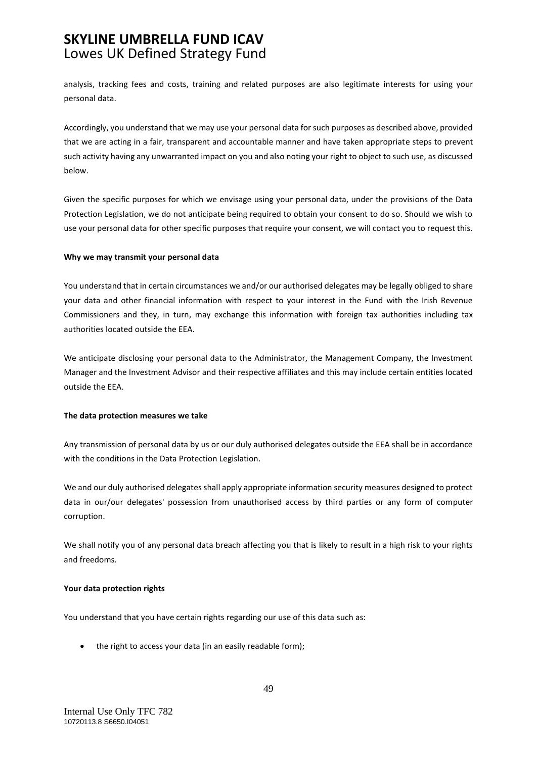## **SKYLINE UMBRELLA FUND ICAV**  Lowes UK Defined Strategy Fund

analysis, tracking fees and costs, training and related purposes are also legitimate interests for using your personal data.

Accordingly, you understand that we may use your personal data for such purposes as described above, provided that we are acting in a fair, transparent and accountable manner and have taken appropriate steps to prevent such activity having any unwarranted impact on you and also noting your right to object to such use, as discussed below.

Given the specific purposes for which we envisage using your personal data, under the provisions of the Data Protection Legislation, we do not anticipate being required to obtain your consent to do so. Should we wish to use your personal data for other specific purposes that require your consent, we will contact you to request this.

#### **Why we may transmit your personal data**

You understand that in certain circumstances we and/or our authorised delegates may be legally obliged to share your data and other financial information with respect to your interest in the Fund with the Irish Revenue Commissioners and they, in turn, may exchange this information with foreign tax authorities including tax authorities located outside the EEA.

We anticipate disclosing your personal data to the Administrator, the Management Company, the Investment Manager and the Investment Advisor and their respective affiliates and this may include certain entities located outside the EEA.

#### **The data protection measures we take**

Any transmission of personal data by us or our duly authorised delegates outside the EEA shall be in accordance with the conditions in the Data Protection Legislation.

We and our duly authorised delegates shall apply appropriate information security measures designed to protect data in our/our delegates' possession from unauthorised access by third parties or any form of computer corruption.

We shall notify you of any personal data breach affecting you that is likely to result in a high risk to your rights and freedoms.

#### **Your data protection rights**

You understand that you have certain rights regarding our use of this data such as:

• the right to access your data (in an easily readable form);